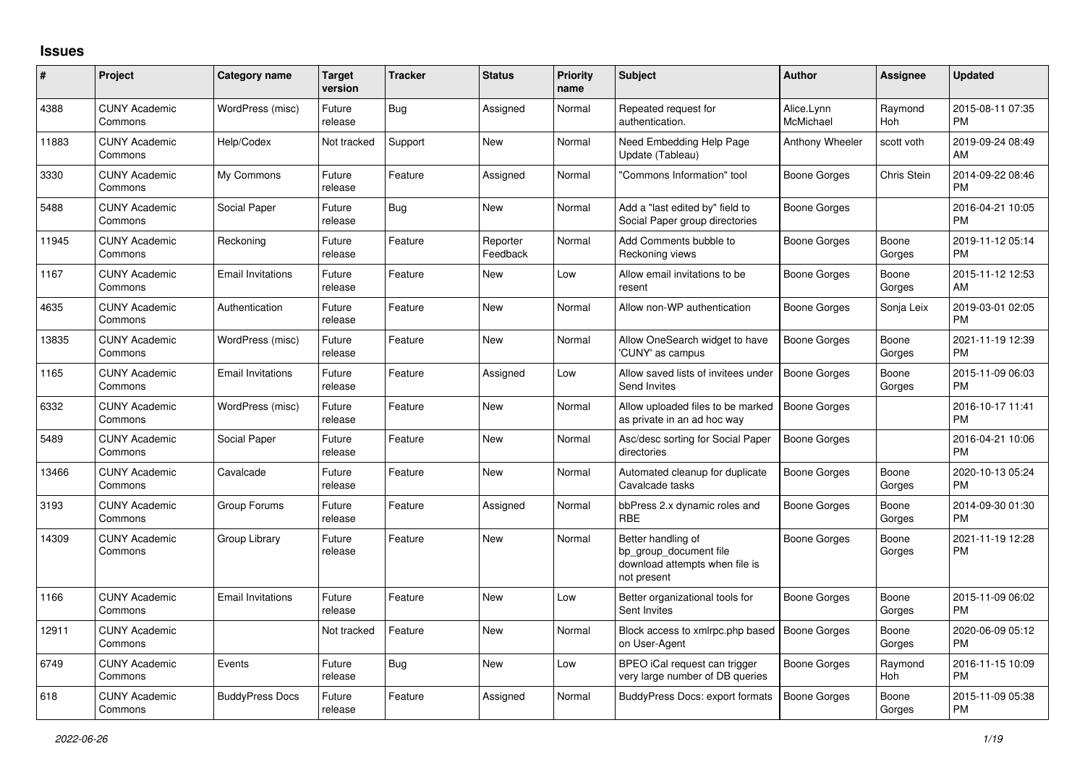## **Issues**

| #     | Project                         | <b>Category name</b>     | <b>Target</b><br>version | <b>Tracker</b> | <b>Status</b>        | <b>Priority</b><br>name | <b>Subject</b>                                                                                | <b>Author</b>           | <b>Assignee</b> | <b>Updated</b>                |
|-------|---------------------------------|--------------------------|--------------------------|----------------|----------------------|-------------------------|-----------------------------------------------------------------------------------------------|-------------------------|-----------------|-------------------------------|
| 4388  | <b>CUNY Academic</b><br>Commons | WordPress (misc)         | Future<br>release        | Bug            | Assigned             | Normal                  | Repeated request for<br>authentication.                                                       | Alice.Lynn<br>McMichael | Raymond<br>Hoh  | 2015-08-11 07:35<br><b>PM</b> |
| 11883 | <b>CUNY Academic</b><br>Commons | Help/Codex               | Not tracked              | Support        | <b>New</b>           | Normal                  | Need Embedding Help Page<br>Update (Tableau)                                                  | Anthony Wheeler         | scott voth      | 2019-09-24 08:49<br>AM        |
| 3330  | <b>CUNY Academic</b><br>Commons | My Commons               | Future<br>release        | Feature        | Assigned             | Normal                  | 'Commons Information" tool                                                                    | Boone Gorges            | Chris Stein     | 2014-09-22 08:46<br><b>PM</b> |
| 5488  | <b>CUNY Academic</b><br>Commons | Social Paper             | Future<br>release        | Bug            | <b>New</b>           | Normal                  | Add a "last edited by" field to<br>Social Paper group directories                             | Boone Gorges            |                 | 2016-04-21 10:05<br><b>PM</b> |
| 11945 | <b>CUNY Academic</b><br>Commons | Reckoning                | Future<br>release        | Feature        | Reporter<br>Feedback | Normal                  | Add Comments bubble to<br>Reckoning views                                                     | Boone Gorges            | Boone<br>Gorges | 2019-11-12 05:14<br><b>PM</b> |
| 1167  | <b>CUNY Academic</b><br>Commons | <b>Email Invitations</b> | Future<br>release        | Feature        | <b>New</b>           | Low                     | Allow email invitations to be<br>resent                                                       | Boone Gorges            | Boone<br>Gorges | 2015-11-12 12:53<br>AM        |
| 4635  | <b>CUNY Academic</b><br>Commons | Authentication           | Future<br>release        | Feature        | New                  | Normal                  | Allow non-WP authentication                                                                   | Boone Gorges            | Sonja Leix      | 2019-03-01 02:05<br><b>PM</b> |
| 13835 | <b>CUNY Academic</b><br>Commons | WordPress (misc)         | Future<br>release        | Feature        | <b>New</b>           | Normal                  | Allow OneSearch widget to have<br>'CUNY' as campus                                            | <b>Boone Gorges</b>     | Boone<br>Gorges | 2021-11-19 12:39<br><b>PM</b> |
| 1165  | <b>CUNY Academic</b><br>Commons | <b>Email Invitations</b> | Future<br>release        | Feature        | Assigned             | Low                     | Allow saved lists of invitees under<br>Send Invites                                           | <b>Boone Gorges</b>     | Boone<br>Gorges | 2015-11-09 06:03<br><b>PM</b> |
| 6332  | <b>CUNY Academic</b><br>Commons | WordPress (misc)         | Future<br>release        | Feature        | <b>New</b>           | Normal                  | Allow uploaded files to be marked<br>as private in an ad hoc way                              | Boone Gorges            |                 | 2016-10-17 11:41<br><b>PM</b> |
| 5489  | <b>CUNY Academic</b><br>Commons | Social Paper             | Future<br>release        | Feature        | <b>New</b>           | Normal                  | Asc/desc sorting for Social Paper<br>directories                                              | Boone Gorges            |                 | 2016-04-21 10:06<br><b>PM</b> |
| 13466 | <b>CUNY Academic</b><br>Commons | Cavalcade                | Future<br>release        | Feature        | <b>New</b>           | Normal                  | Automated cleanup for duplicate<br>Cavalcade tasks                                            | <b>Boone Gorges</b>     | Boone<br>Gorges | 2020-10-13 05:24<br><b>PM</b> |
| 3193  | <b>CUNY Academic</b><br>Commons | Group Forums             | Future<br>release        | Feature        | Assigned             | Normal                  | bbPress 2.x dynamic roles and<br><b>RBE</b>                                                   | Boone Gorges            | Boone<br>Gorges | 2014-09-30 01:30<br><b>PM</b> |
| 14309 | <b>CUNY Academic</b><br>Commons | Group Library            | Future<br>release        | Feature        | <b>New</b>           | Normal                  | Better handling of<br>bp group document file<br>download attempts when file is<br>not present | Boone Gorges            | Boone<br>Gorges | 2021-11-19 12:28<br><b>PM</b> |
| 1166  | <b>CUNY Academic</b><br>Commons | <b>Email Invitations</b> | Future<br>release        | Feature        | <b>New</b>           | Low                     | Better organizational tools for<br>Sent Invites                                               | Boone Gorges            | Boone<br>Gorges | 2015-11-09 06:02<br><b>PM</b> |
| 12911 | <b>CUNY Academic</b><br>Commons |                          | Not tracked              | Feature        | <b>New</b>           | Normal                  | Block access to xmlrpc.php based<br>on User-Agent                                             | <b>Boone Gorges</b>     | Boone<br>Gorges | 2020-06-09 05:12<br><b>PM</b> |
| 6749  | <b>CUNY Academic</b><br>Commons | Events                   | Future<br>release        | Bug            | <b>New</b>           | Low                     | BPEO iCal request can trigger<br>very large number of DB queries                              | Boone Gorges            | Raymond<br>Hoh  | 2016-11-15 10:09<br><b>PM</b> |
| 618   | <b>CUNY Academic</b><br>Commons | <b>BuddyPress Docs</b>   | Future<br>release        | Feature        | Assigned             | Normal                  | <b>BuddyPress Docs: export formats</b>                                                        | <b>Boone Gorges</b>     | Boone<br>Gorges | 2015-11-09 05:38<br><b>PM</b> |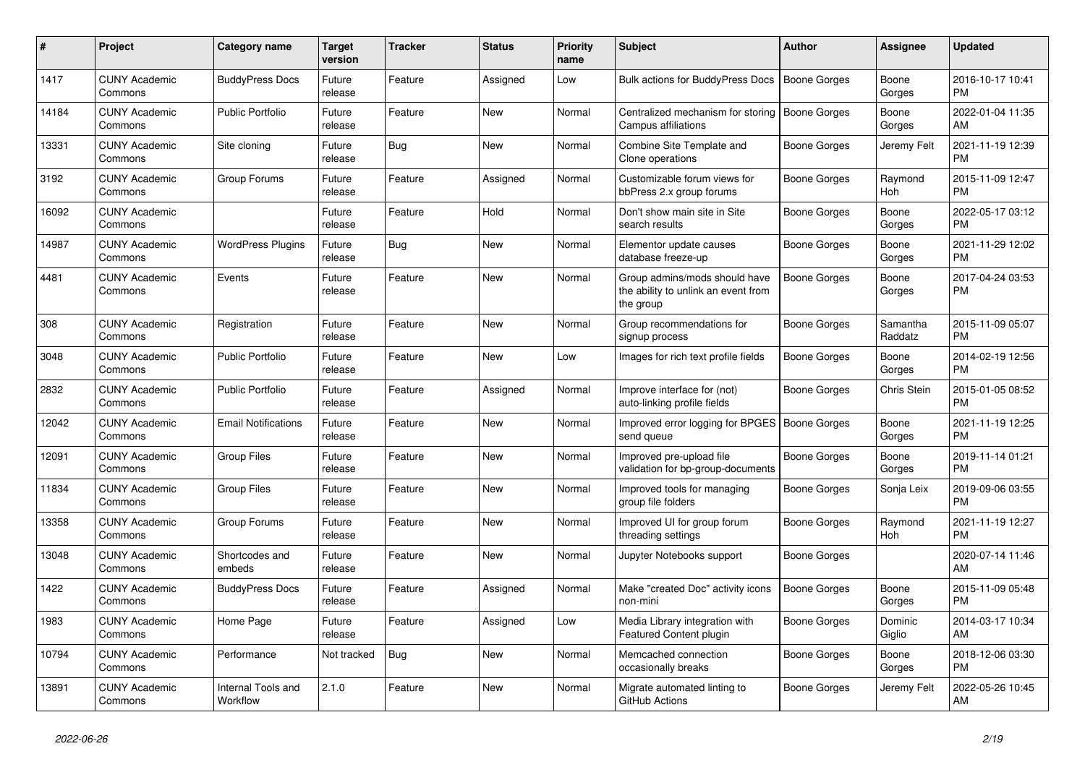| #     | <b>Project</b>                  | <b>Category name</b>           | <b>Target</b><br>version | <b>Tracker</b> | <b>Status</b> | <b>Priority</b><br>name | <b>Subject</b>                                                                    | <b>Author</b>       | Assignee              | <b>Updated</b>                |
|-------|---------------------------------|--------------------------------|--------------------------|----------------|---------------|-------------------------|-----------------------------------------------------------------------------------|---------------------|-----------------------|-------------------------------|
| 1417  | <b>CUNY Academic</b><br>Commons | <b>BuddyPress Docs</b>         | Future<br>release        | Feature        | Assigned      | Low                     | Bulk actions for BuddyPress Docs                                                  | <b>Boone Gorges</b> | Boone<br>Gorges       | 2016-10-17 10:41<br><b>PM</b> |
| 14184 | <b>CUNY Academic</b><br>Commons | <b>Public Portfolio</b>        | Future<br>release        | Feature        | New           | Normal                  | Centralized mechanism for storing<br>Campus affiliations                          | <b>Boone Gorges</b> | Boone<br>Gorges       | 2022-01-04 11:35<br>AM        |
| 13331 | <b>CUNY Academic</b><br>Commons | Site cloning                   | Future<br>release        | Bug            | <b>New</b>    | Normal                  | Combine Site Template and<br>Clone operations                                     | Boone Gorges        | Jeremy Felt           | 2021-11-19 12:39<br><b>PM</b> |
| 3192  | <b>CUNY Academic</b><br>Commons | Group Forums                   | Future<br>release        | Feature        | Assigned      | Normal                  | Customizable forum views for<br>bbPress 2.x group forums                          | Boone Gorges        | Raymond<br><b>Hoh</b> | 2015-11-09 12:47<br><b>PM</b> |
| 16092 | <b>CUNY Academic</b><br>Commons |                                | Future<br>release        | Feature        | Hold          | Normal                  | Don't show main site in Site<br>search results                                    | Boone Gorges        | Boone<br>Gorges       | 2022-05-17 03:12<br><b>PM</b> |
| 14987 | <b>CUNY Academic</b><br>Commons | <b>WordPress Plugins</b>       | Future<br>release        | <b>Bug</b>     | <b>New</b>    | Normal                  | Elementor update causes<br>database freeze-up                                     | Boone Gorges        | Boone<br>Gorges       | 2021-11-29 12:02<br><b>PM</b> |
| 4481  | <b>CUNY Academic</b><br>Commons | Events                         | Future<br>release        | Feature        | <b>New</b>    | Normal                  | Group admins/mods should have<br>the ability to unlink an event from<br>the group | <b>Boone Gorges</b> | Boone<br>Gorges       | 2017-04-24 03:53<br><b>PM</b> |
| 308   | <b>CUNY Academic</b><br>Commons | Registration                   | Future<br>release        | Feature        | <b>New</b>    | Normal                  | Group recommendations for<br>signup process                                       | Boone Gorges        | Samantha<br>Raddatz   | 2015-11-09 05:07<br><b>PM</b> |
| 3048  | <b>CUNY Academic</b><br>Commons | <b>Public Portfolio</b>        | Future<br>release        | Feature        | <b>New</b>    | Low                     | Images for rich text profile fields                                               | Boone Gorges        | Boone<br>Gorges       | 2014-02-19 12:56<br><b>PM</b> |
| 2832  | <b>CUNY Academic</b><br>Commons | <b>Public Portfolio</b>        | Future<br>release        | Feature        | Assigned      | Normal                  | Improve interface for (not)<br>auto-linking profile fields                        | Boone Gorges        | Chris Stein           | 2015-01-05 08:52<br><b>PM</b> |
| 12042 | <b>CUNY Academic</b><br>Commons | <b>Email Notifications</b>     | Future<br>release        | Feature        | <b>New</b>    | Normal                  | Improved error logging for BPGES   Boone Gorges<br>send queue                     |                     | Boone<br>Gorges       | 2021-11-19 12:25<br><b>PM</b> |
| 12091 | <b>CUNY Academic</b><br>Commons | <b>Group Files</b>             | Future<br>release        | Feature        | <b>New</b>    | Normal                  | Improved pre-upload file<br>validation for bp-group-documents                     | Boone Gorges        | Boone<br>Gorges       | 2019-11-14 01:21<br><b>PM</b> |
| 11834 | <b>CUNY Academic</b><br>Commons | <b>Group Files</b>             | Future<br>release        | Feature        | New           | Normal                  | Improved tools for managing<br>group file folders                                 | Boone Gorges        | Sonja Leix            | 2019-09-06 03:55<br><b>PM</b> |
| 13358 | <b>CUNY Academic</b><br>Commons | Group Forums                   | Future<br>release        | Feature        | New           | Normal                  | Improved UI for group forum<br>threading settings                                 | Boone Gorges        | Raymond<br>Hoh        | 2021-11-19 12:27<br><b>PM</b> |
| 13048 | <b>CUNY Academic</b><br>Commons | Shortcodes and<br>embeds       | Future<br>release        | Feature        | <b>New</b>    | Normal                  | Jupyter Notebooks support                                                         | Boone Gorges        |                       | 2020-07-14 11:46<br>AM        |
| 1422  | <b>CUNY Academic</b><br>Commons | <b>BuddyPress Docs</b>         | Future<br>release        | Feature        | Assigned      | Normal                  | Make "created Doc" activity icons<br>non-mini                                     | Boone Gorges        | Boone<br>Gorges       | 2015-11-09 05:48<br><b>PM</b> |
| 1983  | <b>CUNY Academic</b><br>Commons | Home Page                      | Future<br>release        | Feature        | Assigned      | Low                     | Media Library integration with<br>Featured Content plugin                         | Boone Gorges        | Dominic<br>Giglio     | 2014-03-17 10:34<br>AM        |
| 10794 | <b>CUNY Academic</b><br>Commons | Performance                    | Not tracked              | <b>Bug</b>     | <b>New</b>    | Normal                  | Memcached connection<br>occasionally breaks                                       | Boone Gorges        | Boone<br>Gorges       | 2018-12-06 03:30<br><b>PM</b> |
| 13891 | <b>CUNY Academic</b><br>Commons | Internal Tools and<br>Workflow | 2.1.0                    | Feature        | <b>New</b>    | Normal                  | Migrate automated linting to<br>GitHub Actions                                    | Boone Gorges        | Jeremy Felt           | 2022-05-26 10:45<br>AM        |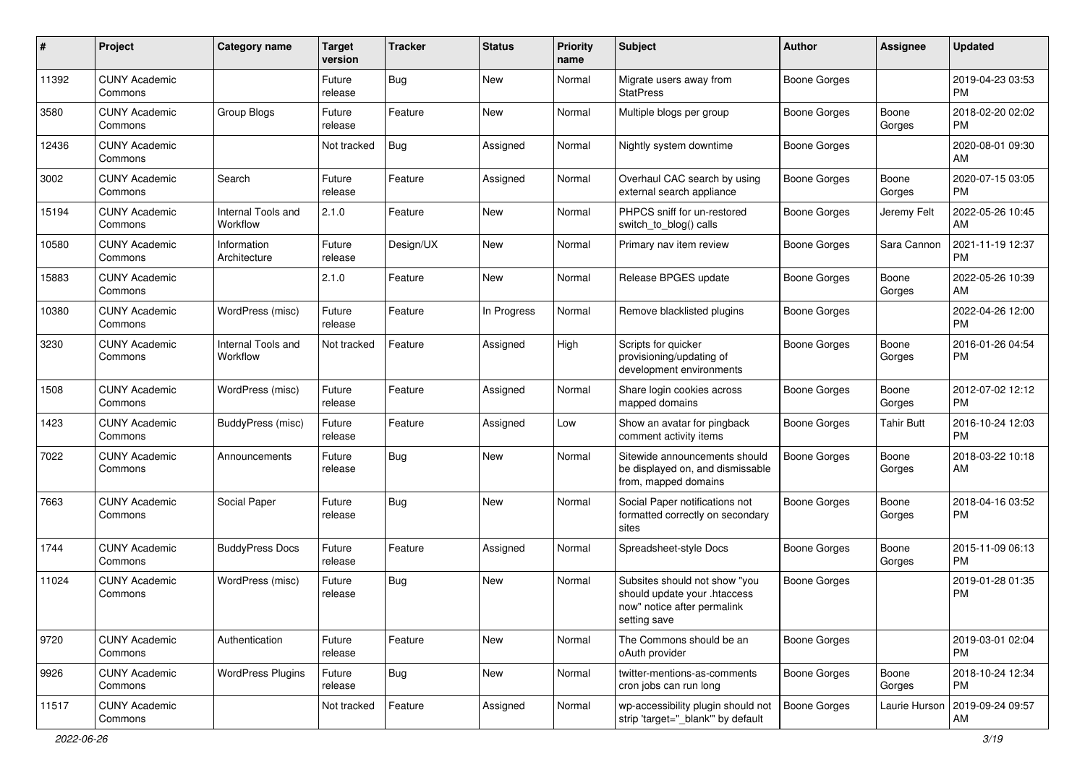| #     | Project                         | <b>Category name</b>           | <b>Target</b><br>version | <b>Tracker</b> | <b>Status</b> | <b>Priority</b><br>name | Subject                                                                                                      | Author              | <b>Assignee</b>   | <b>Updated</b>                |
|-------|---------------------------------|--------------------------------|--------------------------|----------------|---------------|-------------------------|--------------------------------------------------------------------------------------------------------------|---------------------|-------------------|-------------------------------|
| 11392 | <b>CUNY Academic</b><br>Commons |                                | Future<br>release        | <b>Bug</b>     | New           | Normal                  | Migrate users away from<br><b>StatPress</b>                                                                  | <b>Boone Gorges</b> |                   | 2019-04-23 03:53<br><b>PM</b> |
| 3580  | <b>CUNY Academic</b><br>Commons | Group Blogs                    | Future<br>release        | Feature        | New           | Normal                  | Multiple blogs per group                                                                                     | <b>Boone Gorges</b> | Boone<br>Gorges   | 2018-02-20 02:02<br>РM        |
| 12436 | <b>CUNY Academic</b><br>Commons |                                | Not tracked              | <b>Bug</b>     | Assigned      | Normal                  | Nightly system downtime                                                                                      | <b>Boone Gorges</b> |                   | 2020-08-01 09:30<br>AM        |
| 3002  | <b>CUNY Academic</b><br>Commons | Search                         | Future<br>release        | Feature        | Assigned      | Normal                  | Overhaul CAC search by using<br>external search appliance                                                    | Boone Gorges        | Boone<br>Gorges   | 2020-07-15 03:05<br><b>PM</b> |
| 15194 | <b>CUNY Academic</b><br>Commons | Internal Tools and<br>Workflow | 2.1.0                    | Feature        | New           | Normal                  | PHPCS sniff for un-restored<br>switch to blog() calls                                                        | Boone Gorges        | Jeremy Felt       | 2022-05-26 10:45<br>AM        |
| 10580 | <b>CUNY Academic</b><br>Commons | Information<br>Architecture    | Future<br>release        | Design/UX      | New           | Normal                  | Primary nav item review                                                                                      | <b>Boone Gorges</b> | Sara Cannon       | 2021-11-19 12:37<br><b>PM</b> |
| 15883 | <b>CUNY Academic</b><br>Commons |                                | 2.1.0                    | Feature        | <b>New</b>    | Normal                  | Release BPGES update                                                                                         | <b>Boone Gorges</b> | Boone<br>Gorges   | 2022-05-26 10:39<br>AM        |
| 10380 | <b>CUNY Academic</b><br>Commons | WordPress (misc)               | Future<br>release        | Feature        | In Progress   | Normal                  | Remove blacklisted plugins                                                                                   | <b>Boone Gorges</b> |                   | 2022-04-26 12:00<br>PM        |
| 3230  | <b>CUNY Academic</b><br>Commons | Internal Tools and<br>Workflow | Not tracked              | Feature        | Assigned      | High                    | Scripts for quicker<br>provisioning/updating of<br>development environments                                  | <b>Boone Gorges</b> | Boone<br>Gorges   | 2016-01-26 04:54<br><b>PM</b> |
| 1508  | <b>CUNY Academic</b><br>Commons | WordPress (misc)               | Future<br>release        | Feature        | Assigned      | Normal                  | Share login cookies across<br>mapped domains                                                                 | <b>Boone Gorges</b> | Boone<br>Gorges   | 2012-07-02 12:12<br><b>PM</b> |
| 1423  | <b>CUNY Academic</b><br>Commons | BuddyPress (misc)              | Future<br>release        | Feature        | Assigned      | Low                     | Show an avatar for pingback<br>comment activity items                                                        | <b>Boone Gorges</b> | <b>Tahir Butt</b> | 2016-10-24 12:03<br><b>PM</b> |
| 7022  | <b>CUNY Academic</b><br>Commons | Announcements                  | Future<br>release        | <b>Bug</b>     | New           | Normal                  | Sitewide announcements should<br>be displayed on, and dismissable<br>from, mapped domains                    | Boone Gorges        | Boone<br>Gorges   | 2018-03-22 10:18<br>AM        |
| 7663  | <b>CUNY Academic</b><br>Commons | Social Paper                   | Future<br>release        | <b>Bug</b>     | New           | Normal                  | Social Paper notifications not<br>formatted correctly on secondary<br>sites                                  | <b>Boone Gorges</b> | Boone<br>Gorges   | 2018-04-16 03:52<br>PM        |
| 1744  | <b>CUNY Academic</b><br>Commons | <b>BuddyPress Docs</b>         | Future<br>release        | Feature        | Assigned      | Normal                  | Spreadsheet-style Docs                                                                                       | Boone Gorges        | Boone<br>Gorges   | 2015-11-09 06:13<br><b>PM</b> |
| 11024 | <b>CUNY Academic</b><br>Commons | WordPress (misc)               | Future<br>release        | <b>Bug</b>     | New           | Normal                  | Subsites should not show "you<br>should update your .htaccess<br>now" notice after permalink<br>setting save | Boone Gorges        |                   | 2019-01-28 01:35<br>РM        |
| 9720  | <b>CUNY Academic</b><br>Commons | Authentication                 | Future<br>release        | Feature        | New           | Normal                  | The Commons should be an<br>oAuth provider                                                                   | <b>Boone Gorges</b> |                   | 2019-03-01 02:04<br><b>PM</b> |
| 9926  | <b>CUNY Academic</b><br>Commons | <b>WordPress Plugins</b>       | Future<br>release        | <b>Bug</b>     | New           | Normal                  | twitter-mentions-as-comments<br>cron jobs can run long                                                       | Boone Gorges        | Boone<br>Gorges   | 2018-10-24 12:34<br>PM        |
| 11517 | <b>CUNY Academic</b><br>Commons |                                | Not tracked              | Feature        | Assigned      | Normal                  | wp-accessibility plugin should not<br>strip 'target="_blank"' by default                                     | Boone Gorges        | Laurie Hurson     | 2019-09-24 09:57<br>AM        |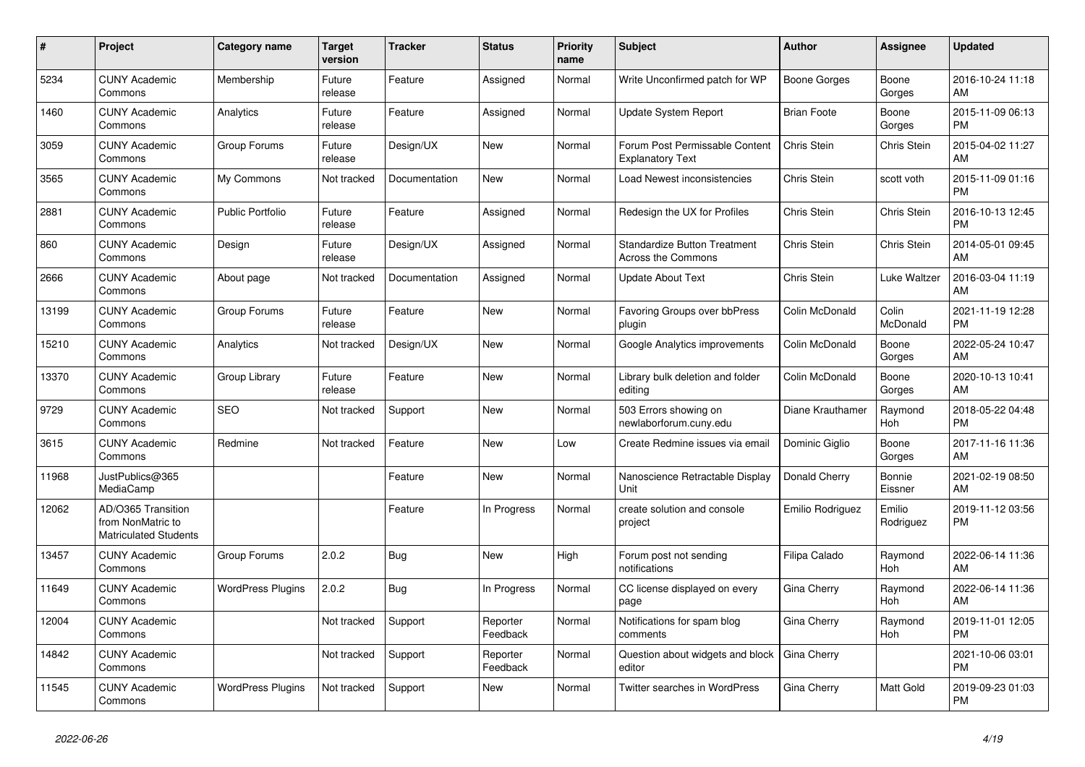| #     | Project                                                                 | Category name            | <b>Target</b><br>version | <b>Tracker</b> | <b>Status</b>        | <b>Priority</b><br>name | <b>Subject</b>                                                   | <b>Author</b>       | <b>Assignee</b>     | <b>Updated</b>                |
|-------|-------------------------------------------------------------------------|--------------------------|--------------------------|----------------|----------------------|-------------------------|------------------------------------------------------------------|---------------------|---------------------|-------------------------------|
| 5234  | <b>CUNY Academic</b><br>Commons                                         | Membership               | Future<br>release        | Feature        | Assigned             | Normal                  | Write Unconfirmed patch for WP                                   | <b>Boone Gorges</b> | Boone<br>Gorges     | 2016-10-24 11:18<br>AM        |
| 1460  | <b>CUNY Academic</b><br>Commons                                         | Analytics                | Future<br>release        | Feature        | Assigned             | Normal                  | Update System Report                                             | <b>Brian Foote</b>  | Boone<br>Gorges     | 2015-11-09 06:13<br><b>PM</b> |
| 3059  | <b>CUNY Academic</b><br>Commons                                         | Group Forums             | Future<br>release        | Design/UX      | <b>New</b>           | Normal                  | Forum Post Permissable Content<br><b>Explanatory Text</b>        | Chris Stein         | Chris Stein         | 2015-04-02 11:27<br>AM        |
| 3565  | <b>CUNY Academic</b><br>Commons                                         | My Commons               | Not tracked              | Documentation  | <b>New</b>           | Normal                  | Load Newest inconsistencies                                      | Chris Stein         | scott voth          | 2015-11-09 01:16<br><b>PM</b> |
| 2881  | <b>CUNY Academic</b><br>Commons                                         | <b>Public Portfolio</b>  | Future<br>release        | Feature        | Assigned             | Normal                  | Redesign the UX for Profiles                                     | <b>Chris Stein</b>  | Chris Stein         | 2016-10-13 12:45<br><b>PM</b> |
| 860   | <b>CUNY Academic</b><br>Commons                                         | Design                   | Future<br>release        | Design/UX      | Assigned             | Normal                  | <b>Standardize Button Treatment</b><br><b>Across the Commons</b> | Chris Stein         | Chris Stein         | 2014-05-01 09:45<br>AM        |
| 2666  | <b>CUNY Academic</b><br>Commons                                         | About page               | Not tracked              | Documentation  | Assigned             | Normal                  | <b>Update About Text</b>                                         | Chris Stein         | Luke Waltzer        | 2016-03-04 11:19<br>AM        |
| 13199 | <b>CUNY Academic</b><br>Commons                                         | Group Forums             | Future<br>release        | Feature        | <b>New</b>           | Normal                  | <b>Favoring Groups over bbPress</b><br>plugin                    | Colin McDonald      | Colin<br>McDonald   | 2021-11-19 12:28<br><b>PM</b> |
| 15210 | <b>CUNY Academic</b><br>Commons                                         | Analytics                | Not tracked              | Design/UX      | <b>New</b>           | Normal                  | Google Analytics improvements                                    | Colin McDonald      | Boone<br>Gorges     | 2022-05-24 10:47<br>AM        |
| 13370 | <b>CUNY Academic</b><br>Commons                                         | Group Library            | Future<br>release        | Feature        | <b>New</b>           | Normal                  | Library bulk deletion and folder<br>editing                      | Colin McDonald      | Boone<br>Gorges     | 2020-10-13 10:41<br>AM        |
| 9729  | <b>CUNY Academic</b><br>Commons                                         | <b>SEO</b>               | Not tracked              | Support        | <b>New</b>           | Normal                  | 503 Errors showing on<br>newlaborforum.cuny.edu                  | Diane Krauthamer    | Raymond<br>Hoh      | 2018-05-22 04:48<br><b>PM</b> |
| 3615  | <b>CUNY Academic</b><br>Commons                                         | Redmine                  | Not tracked              | Feature        | <b>New</b>           | Low                     | Create Redmine issues via email                                  | Dominic Giglio      | Boone<br>Gorges     | 2017-11-16 11:36<br>AM        |
| 11968 | JustPublics@365<br>MediaCamp                                            |                          |                          | Feature        | <b>New</b>           | Normal                  | Nanoscience Retractable Display<br>Unit                          | Donald Cherry       | Bonnie<br>Eissner   | 2021-02-19 08:50<br>AM        |
| 12062 | AD/O365 Transition<br>from NonMatric to<br><b>Matriculated Students</b> |                          |                          | Feature        | In Progress          | Normal                  | create solution and console<br>project                           | Emilio Rodriguez    | Emilio<br>Rodriguez | 2019-11-12 03:56<br><b>PM</b> |
| 13457 | <b>CUNY Academic</b><br>Commons                                         | Group Forums             | 2.0.2                    | Bug            | <b>New</b>           | High                    | Forum post not sending<br>notifications                          | Filipa Calado       | Raymond<br>Hoh      | 2022-06-14 11:36<br>AM        |
| 11649 | <b>CUNY Academic</b><br>Commons                                         | <b>WordPress Plugins</b> | 2.0.2                    | Bug            | In Progress          | Normal                  | CC license displayed on every<br>page                            | Gina Cherry         | Raymond<br>Hoh      | 2022-06-14 11:36<br>AM        |
| 12004 | <b>CUNY Academic</b><br>Commons                                         |                          | Not tracked              | Support        | Reporter<br>Feedback | Normal                  | Notifications for spam blog<br>comments                          | Gina Cherry         | Raymond<br>Hoh      | 2019-11-01 12:05<br><b>PM</b> |
| 14842 | <b>CUNY Academic</b><br>Commons                                         |                          | Not tracked              | Support        | Reporter<br>Feedback | Normal                  | Question about widgets and block<br>editor                       | Gina Cherry         |                     | 2021-10-06 03:01<br><b>PM</b> |
| 11545 | <b>CUNY Academic</b><br>Commons                                         | <b>WordPress Plugins</b> | Not tracked              | Support        | <b>New</b>           | Normal                  | <b>Twitter searches in WordPress</b>                             | Gina Cherry         | Matt Gold           | 2019-09-23 01:03<br><b>PM</b> |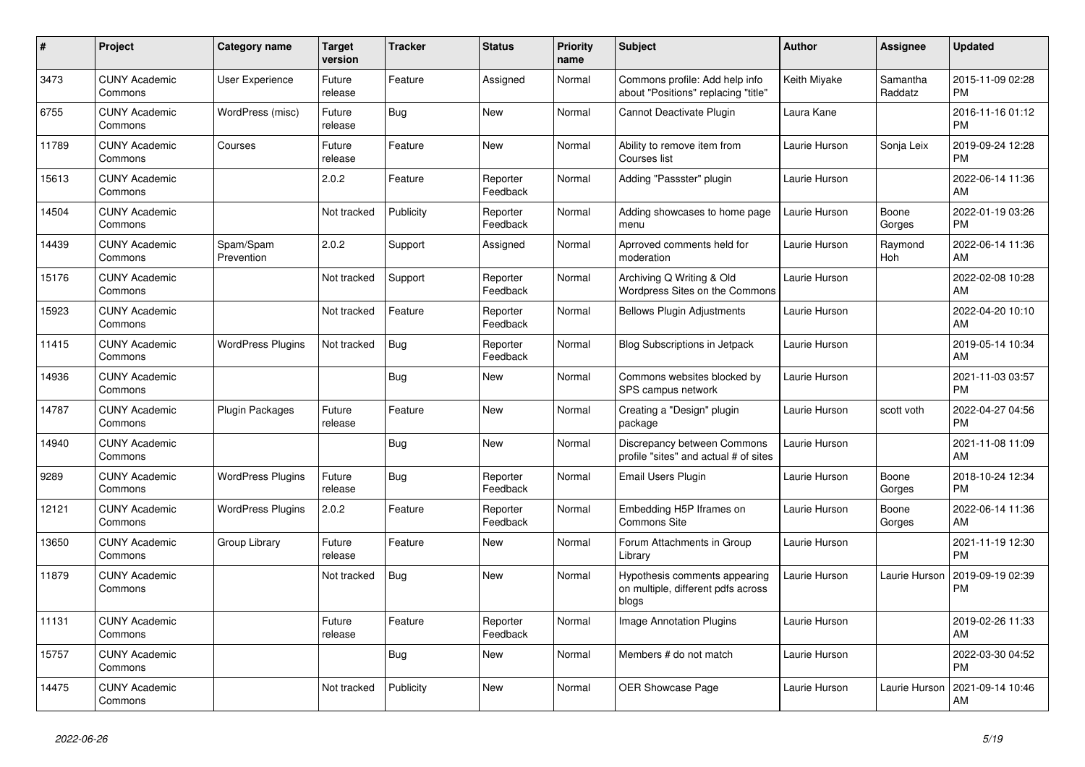| #     | Project                         | <b>Category name</b>     | <b>Target</b><br>version | <b>Tracker</b> | <b>Status</b>        | <b>Priority</b><br>name | <b>Subject</b>                                                               | <b>Author</b> | <b>Assignee</b>     | <b>Updated</b>                |
|-------|---------------------------------|--------------------------|--------------------------|----------------|----------------------|-------------------------|------------------------------------------------------------------------------|---------------|---------------------|-------------------------------|
| 3473  | <b>CUNY Academic</b><br>Commons | User Experience          | Future<br>release        | Feature        | Assigned             | Normal                  | Commons profile: Add help info<br>about "Positions" replacing "title"        | Keith Miyake  | Samantha<br>Raddatz | 2015-11-09 02:28<br><b>PM</b> |
| 6755  | <b>CUNY Academic</b><br>Commons | WordPress (misc)         | Future<br>release        | Bug            | New                  | Normal                  | Cannot Deactivate Plugin                                                     | Laura Kane    |                     | 2016-11-16 01:12<br><b>PM</b> |
| 11789 | <b>CUNY Academic</b><br>Commons | Courses                  | Future<br>release        | Feature        | <b>New</b>           | Normal                  | Ability to remove item from<br>Courses list                                  | Laurie Hurson | Sonja Leix          | 2019-09-24 12:28<br><b>PM</b> |
| 15613 | <b>CUNY Academic</b><br>Commons |                          | 2.0.2                    | Feature        | Reporter<br>Feedback | Normal                  | Adding "Passster" plugin                                                     | Laurie Hurson |                     | 2022-06-14 11:36<br>AM        |
| 14504 | <b>CUNY Academic</b><br>Commons |                          | Not tracked              | Publicity      | Reporter<br>Feedback | Normal                  | Adding showcases to home page<br>menu                                        | Laurie Hurson | Boone<br>Gorges     | 2022-01-19 03:26<br><b>PM</b> |
| 14439 | <b>CUNY Academic</b><br>Commons | Spam/Spam<br>Prevention  | 2.0.2                    | Support        | Assigned             | Normal                  | Aprroved comments held for<br>moderation                                     | Laurie Hurson | Raymond<br>Hoh      | 2022-06-14 11:36<br>AM        |
| 15176 | <b>CUNY Academic</b><br>Commons |                          | Not tracked              | Support        | Reporter<br>Feedback | Normal                  | Archiving Q Writing & Old<br>Wordpress Sites on the Commons                  | Laurie Hurson |                     | 2022-02-08 10:28<br>AM        |
| 15923 | <b>CUNY Academic</b><br>Commons |                          | Not tracked              | Feature        | Reporter<br>Feedback | Normal                  | <b>Bellows Plugin Adjustments</b>                                            | Laurie Hurson |                     | 2022-04-20 10:10<br>AM        |
| 11415 | <b>CUNY Academic</b><br>Commons | <b>WordPress Plugins</b> | Not tracked              | <b>Bug</b>     | Reporter<br>Feedback | Normal                  | Blog Subscriptions in Jetpack                                                | Laurie Hurson |                     | 2019-05-14 10:34<br>AM        |
| 14936 | <b>CUNY Academic</b><br>Commons |                          |                          | Bug            | New                  | Normal                  | Commons websites blocked by<br>SPS campus network                            | Laurie Hurson |                     | 2021-11-03 03:57<br><b>PM</b> |
| 14787 | <b>CUNY Academic</b><br>Commons | <b>Plugin Packages</b>   | Future<br>release        | Feature        | <b>New</b>           | Normal                  | Creating a "Design" plugin<br>package                                        | Laurie Hurson | scott voth          | 2022-04-27 04:56<br><b>PM</b> |
| 14940 | <b>CUNY Academic</b><br>Commons |                          |                          | Bug            | New                  | Normal                  | Discrepancy between Commons<br>profile "sites" and actual # of sites         | Laurie Hurson |                     | 2021-11-08 11:09<br>AM        |
| 9289  | <b>CUNY Academic</b><br>Commons | <b>WordPress Plugins</b> | Future<br>release        | <b>Bug</b>     | Reporter<br>Feedback | Normal                  | Email Users Plugin                                                           | Laurie Hurson | Boone<br>Gorges     | 2018-10-24 12:34<br><b>PM</b> |
| 12121 | <b>CUNY Academic</b><br>Commons | <b>WordPress Plugins</b> | 2.0.2                    | Feature        | Reporter<br>Feedback | Normal                  | Embedding H5P Iframes on<br><b>Commons Site</b>                              | Laurie Hurson | Boone<br>Gorges     | 2022-06-14 11:36<br>AM        |
| 13650 | <b>CUNY Academic</b><br>Commons | Group Library            | Future<br>release        | Feature        | New                  | Normal                  | Forum Attachments in Group<br>Library                                        | Laurie Hurson |                     | 2021-11-19 12:30<br><b>PM</b> |
| 11879 | <b>CUNY Academic</b><br>Commons |                          | Not tracked              | <b>Bug</b>     | <b>New</b>           | Normal                  | Hypothesis comments appearing<br>on multiple, different pdfs across<br>blogs | Laurie Hurson | Laurie Hurson       | 2019-09-19 02:39<br><b>PM</b> |
| 11131 | <b>CUNY Academic</b><br>Commons |                          | Future<br>release        | Feature        | Reporter<br>Feedback | Normal                  | <b>Image Annotation Plugins</b>                                              | Laurie Hurson |                     | 2019-02-26 11:33<br>AM        |
| 15757 | <b>CUNY Academic</b><br>Commons |                          |                          | <b>Bug</b>     | New                  | Normal                  | Members # do not match                                                       | Laurie Hurson |                     | 2022-03-30 04:52<br><b>PM</b> |
| 14475 | <b>CUNY Academic</b><br>Commons |                          | Not tracked              | Publicity      | <b>New</b>           | Normal                  | <b>OER Showcase Page</b>                                                     | Laurie Hurson | Laurie Hurson       | 2021-09-14 10:46<br>AM        |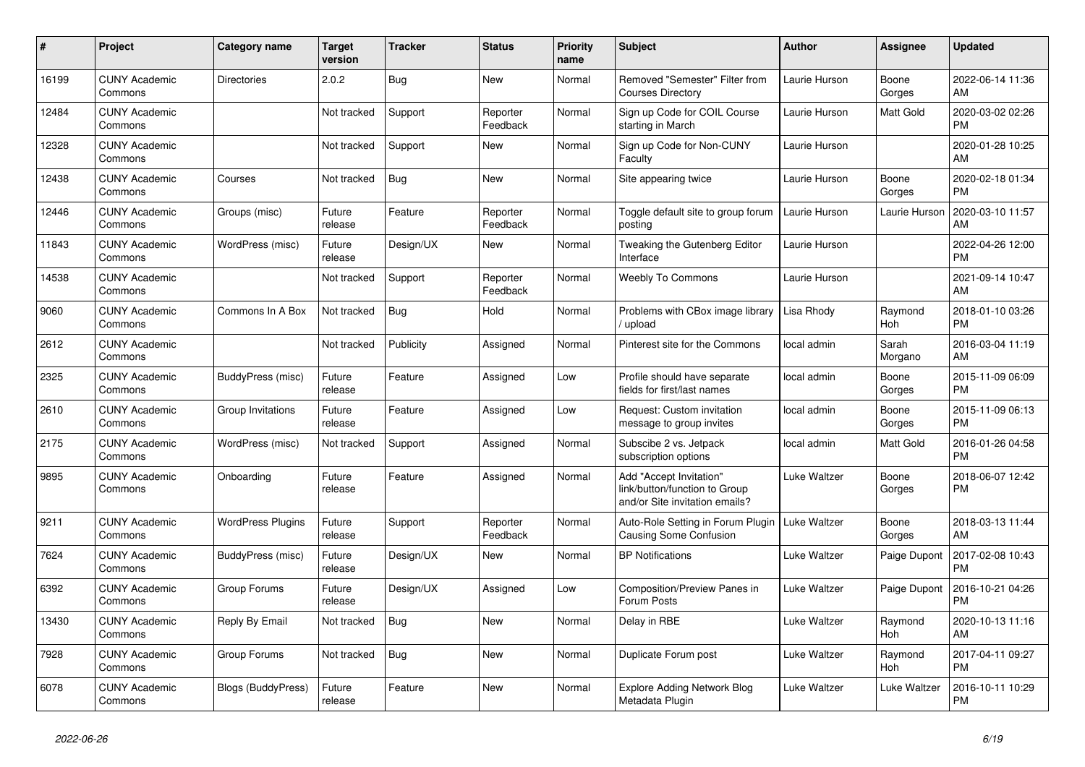| #     | <b>Project</b>                  | <b>Category name</b>      | <b>Target</b><br>version | Tracker    | <b>Status</b>        | <b>Priority</b><br>name | <b>Subject</b>                                                                             | <b>Author</b> | <b>Assignee</b>  | <b>Updated</b>                |
|-------|---------------------------------|---------------------------|--------------------------|------------|----------------------|-------------------------|--------------------------------------------------------------------------------------------|---------------|------------------|-------------------------------|
| 16199 | <b>CUNY Academic</b><br>Commons | <b>Directories</b>        | 2.0.2                    | <b>Bug</b> | <b>New</b>           | Normal                  | Removed "Semester" Filter from<br><b>Courses Directory</b>                                 | Laurie Hurson | Boone<br>Gorges  | 2022-06-14 11:36<br>AM        |
| 12484 | <b>CUNY Academic</b><br>Commons |                           | Not tracked              | Support    | Reporter<br>Feedback | Normal                  | Sign up Code for COIL Course<br>starting in March                                          | Laurie Hurson | Matt Gold        | 2020-03-02 02:26<br><b>PM</b> |
| 12328 | <b>CUNY Academic</b><br>Commons |                           | Not tracked              | Support    | New                  | Normal                  | Sign up Code for Non-CUNY<br>Faculty                                                       | Laurie Hurson |                  | 2020-01-28 10:25<br>AM        |
| 12438 | <b>CUNY Academic</b><br>Commons | Courses                   | Not tracked              | <b>Bug</b> | <b>New</b>           | Normal                  | Site appearing twice                                                                       | Laurie Hurson | Boone<br>Gorges  | 2020-02-18 01:34<br><b>PM</b> |
| 12446 | <b>CUNY Academic</b><br>Commons | Groups (misc)             | Future<br>release        | Feature    | Reporter<br>Feedback | Normal                  | Toggle default site to group forum<br>posting                                              | Laurie Hurson | Laurie Hurson    | 2020-03-10 11:57<br>AM        |
| 11843 | <b>CUNY Academic</b><br>Commons | WordPress (misc)          | Future<br>release        | Design/UX  | <b>New</b>           | Normal                  | Tweaking the Gutenberg Editor<br>Interface                                                 | Laurie Hurson |                  | 2022-04-26 12:00<br><b>PM</b> |
| 14538 | <b>CUNY Academic</b><br>Commons |                           | Not tracked              | Support    | Reporter<br>Feedback | Normal                  | Weebly To Commons                                                                          | Laurie Hurson |                  | 2021-09-14 10:47<br>AM        |
| 9060  | <b>CUNY Academic</b><br>Commons | Commons In A Box          | Not tracked              | <b>Bug</b> | Hold                 | Normal                  | Problems with CBox image library<br>upload                                                 | Lisa Rhody    | Raymond<br>Hoh   | 2018-01-10 03:26<br><b>PM</b> |
| 2612  | <b>CUNY Academic</b><br>Commons |                           | Not tracked              | Publicity  | Assigned             | Normal                  | Pinterest site for the Commons                                                             | local admin   | Sarah<br>Morgano | 2016-03-04 11:19<br>AM        |
| 2325  | <b>CUNY Academic</b><br>Commons | BuddyPress (misc)         | Future<br>release        | Feature    | Assigned             | Low                     | Profile should have separate<br>fields for first/last names                                | local admin   | Boone<br>Gorges  | 2015-11-09 06:09<br><b>PM</b> |
| 2610  | <b>CUNY Academic</b><br>Commons | Group Invitations         | Future<br>release        | Feature    | Assigned             | Low                     | Request: Custom invitation<br>message to group invites                                     | local admin   | Boone<br>Gorges  | 2015-11-09 06:13<br><b>PM</b> |
| 2175  | <b>CUNY Academic</b><br>Commons | WordPress (misc)          | Not tracked              | Support    | Assigned             | Normal                  | Subscibe 2 vs. Jetpack<br>subscription options                                             | local admin   | Matt Gold        | 2016-01-26 04:58<br><b>PM</b> |
| 9895  | <b>CUNY Academic</b><br>Commons | Onboarding                | Future<br>release        | Feature    | Assigned             | Normal                  | Add "Accept Invitation"<br>link/button/function to Group<br>and/or Site invitation emails? | Luke Waltzer  | Boone<br>Gorges  | 2018-06-07 12:42<br><b>PM</b> |
| 9211  | <b>CUNY Academic</b><br>Commons | <b>WordPress Plugins</b>  | Future<br>release        | Support    | Reporter<br>Feedback | Normal                  | Auto-Role Setting in Forum Plugin<br>Causing Some Confusion                                | Luke Waltzer  | Boone<br>Gorges  | 2018-03-13 11:44<br>AM        |
| 7624  | <b>CUNY Academic</b><br>Commons | BuddyPress (misc)         | Future<br>release        | Design/UX  | New                  | Normal                  | <b>BP</b> Notifications                                                                    | Luke Waltzer  | Paige Dupont     | 2017-02-08 10:43<br><b>PM</b> |
| 6392  | <b>CUNY Academic</b><br>Commons | Group Forums              | Future<br>release        | Design/UX  | Assigned             | Low                     | Composition/Preview Panes in<br>Forum Posts                                                | Luke Waltzer  | Paige Dupont     | 2016-10-21 04:26<br><b>PM</b> |
| 13430 | <b>CUNY Academic</b><br>Commons | Reply By Email            | Not tracked              | Bug        | <b>New</b>           | Normal                  | Delay in RBE                                                                               | Luke Waltzer  | Raymond<br>Hoh   | 2020-10-13 11:16<br>AM        |
| 7928  | <b>CUNY Academic</b><br>Commons | Group Forums              | Not tracked              | <b>Bug</b> | <b>New</b>           | Normal                  | Duplicate Forum post                                                                       | Luke Waltzer  | Raymond<br>Hoh   | 2017-04-11 09:27<br><b>PM</b> |
| 6078  | <b>CUNY Academic</b><br>Commons | <b>Blogs (BuddyPress)</b> | Future<br>release        | Feature    | <b>New</b>           | Normal                  | <b>Explore Adding Network Blog</b><br>Metadata Plugin                                      | Luke Waltzer  | Luke Waltzer     | 2016-10-11 10:29<br><b>PM</b> |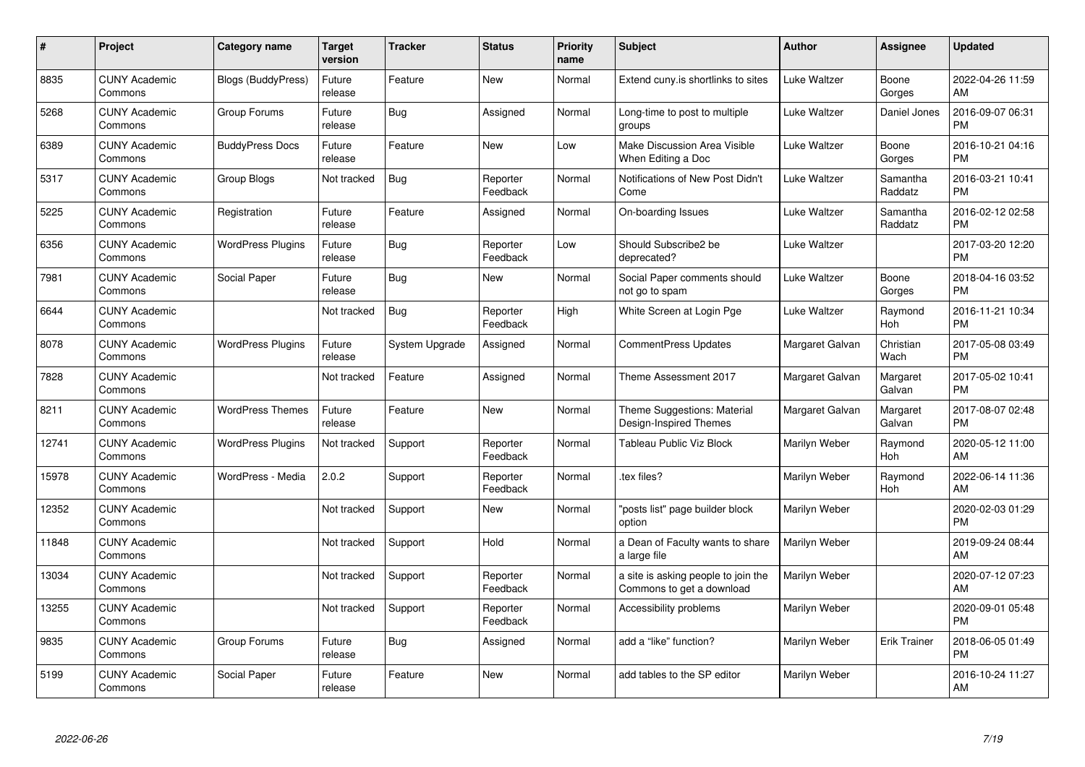| #     | Project                         | <b>Category name</b>     | Target<br>version | <b>Tracker</b> | <b>Status</b>        | <b>Priority</b><br>name | <b>Subject</b>                                                   | <b>Author</b>   | <b>Assignee</b>     | <b>Updated</b>                |
|-------|---------------------------------|--------------------------|-------------------|----------------|----------------------|-------------------------|------------------------------------------------------------------|-----------------|---------------------|-------------------------------|
| 8835  | <b>CUNY Academic</b><br>Commons | Blogs (BuddyPress)       | Future<br>release | Feature        | <b>New</b>           | Normal                  | Extend cuny.is shortlinks to sites                               | Luke Waltzer    | Boone<br>Gorges     | 2022-04-26 11:59<br>AM        |
| 5268  | <b>CUNY Academic</b><br>Commons | Group Forums             | Future<br>release | Bug            | Assigned             | Normal                  | Long-time to post to multiple<br>groups                          | Luke Waltzer    | Daniel Jones        | 2016-09-07 06:31<br><b>PM</b> |
| 6389  | <b>CUNY Academic</b><br>Commons | <b>BuddyPress Docs</b>   | Future<br>release | Feature        | New                  | Low                     | Make Discussion Area Visible<br>When Editing a Doc               | Luke Waltzer    | Boone<br>Gorges     | 2016-10-21 04:16<br><b>PM</b> |
| 5317  | <b>CUNY Academic</b><br>Commons | Group Blogs              | Not tracked       | Bug            | Reporter<br>Feedback | Normal                  | Notifications of New Post Didn't<br>Come                         | Luke Waltzer    | Samantha<br>Raddatz | 2016-03-21 10:41<br><b>PM</b> |
| 5225  | <b>CUNY Academic</b><br>Commons | Registration             | Future<br>release | Feature        | Assigned             | Normal                  | On-boarding Issues                                               | Luke Waltzer    | Samantha<br>Raddatz | 2016-02-12 02:58<br><b>PM</b> |
| 6356  | <b>CUNY Academic</b><br>Commons | <b>WordPress Plugins</b> | Future<br>release | <b>Bug</b>     | Reporter<br>Feedback | Low                     | Should Subscribe2 be<br>deprecated?                              | Luke Waltzer    |                     | 2017-03-20 12:20<br><b>PM</b> |
| 7981  | <b>CUNY Academic</b><br>Commons | Social Paper             | Future<br>release | <b>Bug</b>     | <b>New</b>           | Normal                  | Social Paper comments should<br>not go to spam                   | Luke Waltzer    | Boone<br>Gorges     | 2018-04-16 03:52<br><b>PM</b> |
| 6644  | <b>CUNY Academic</b><br>Commons |                          | Not tracked       | <b>Bug</b>     | Reporter<br>Feedback | High                    | White Screen at Login Pge                                        | Luke Waltzer    | Raymond<br>Hoh      | 2016-11-21 10:34<br><b>PM</b> |
| 8078  | <b>CUNY Academic</b><br>Commons | <b>WordPress Plugins</b> | Future<br>release | System Upgrade | Assigned             | Normal                  | CommentPress Updates                                             | Margaret Galvan | Christian<br>Wach   | 2017-05-08 03:49<br><b>PM</b> |
| 7828  | <b>CUNY Academic</b><br>Commons |                          | Not tracked       | Feature        | Assigned             | Normal                  | Theme Assessment 2017                                            | Margaret Galvan | Margaret<br>Galvan  | 2017-05-02 10:41<br><b>PM</b> |
| 8211  | <b>CUNY Academic</b><br>Commons | <b>WordPress Themes</b>  | Future<br>release | Feature        | <b>New</b>           | Normal                  | Theme Suggestions: Material<br>Design-Inspired Themes            | Margaret Galvan | Margaret<br>Galvan  | 2017-08-07 02:48<br><b>PM</b> |
| 12741 | <b>CUNY Academic</b><br>Commons | <b>WordPress Plugins</b> | Not tracked       | Support        | Reporter<br>Feedback | Normal                  | <b>Tableau Public Viz Block</b>                                  | Marilyn Weber   | Raymond<br>Hoh      | 2020-05-12 11:00<br>AM        |
| 15978 | <b>CUNY Academic</b><br>Commons | WordPress - Media        | 2.0.2             | Support        | Reporter<br>Feedback | Normal                  | tex files?                                                       | Marilyn Weber   | Raymond<br>Hoh      | 2022-06-14 11:36<br>AM        |
| 12352 | <b>CUNY Academic</b><br>Commons |                          | Not tracked       | Support        | <b>New</b>           | Normal                  | 'posts list" page builder block<br>option                        | Marilyn Weber   |                     | 2020-02-03 01:29<br><b>PM</b> |
| 11848 | <b>CUNY Academic</b><br>Commons |                          | Not tracked       | Support        | Hold                 | Normal                  | a Dean of Faculty wants to share<br>a large file                 | Marilyn Weber   |                     | 2019-09-24 08:44<br>AM        |
| 13034 | <b>CUNY Academic</b><br>Commons |                          | Not tracked       | Support        | Reporter<br>Feedback | Normal                  | a site is asking people to join the<br>Commons to get a download | Marilyn Weber   |                     | 2020-07-12 07:23<br>AM        |
| 13255 | <b>CUNY Academic</b><br>Commons |                          | Not tracked       | Support        | Reporter<br>Feedback | Normal                  | Accessibility problems                                           | Marilyn Weber   |                     | 2020-09-01 05:48<br><b>PM</b> |
| 9835  | <b>CUNY Academic</b><br>Commons | Group Forums             | Future<br>release | Bug            | Assigned             | Normal                  | add a "like" function?                                           | Marilyn Weber   | <b>Erik Trainer</b> | 2018-06-05 01:49<br><b>PM</b> |
| 5199  | <b>CUNY Academic</b><br>Commons | Social Paper             | Future<br>release | Feature        | <b>New</b>           | Normal                  | add tables to the SP editor                                      | Marilyn Weber   |                     | 2016-10-24 11:27<br>AM        |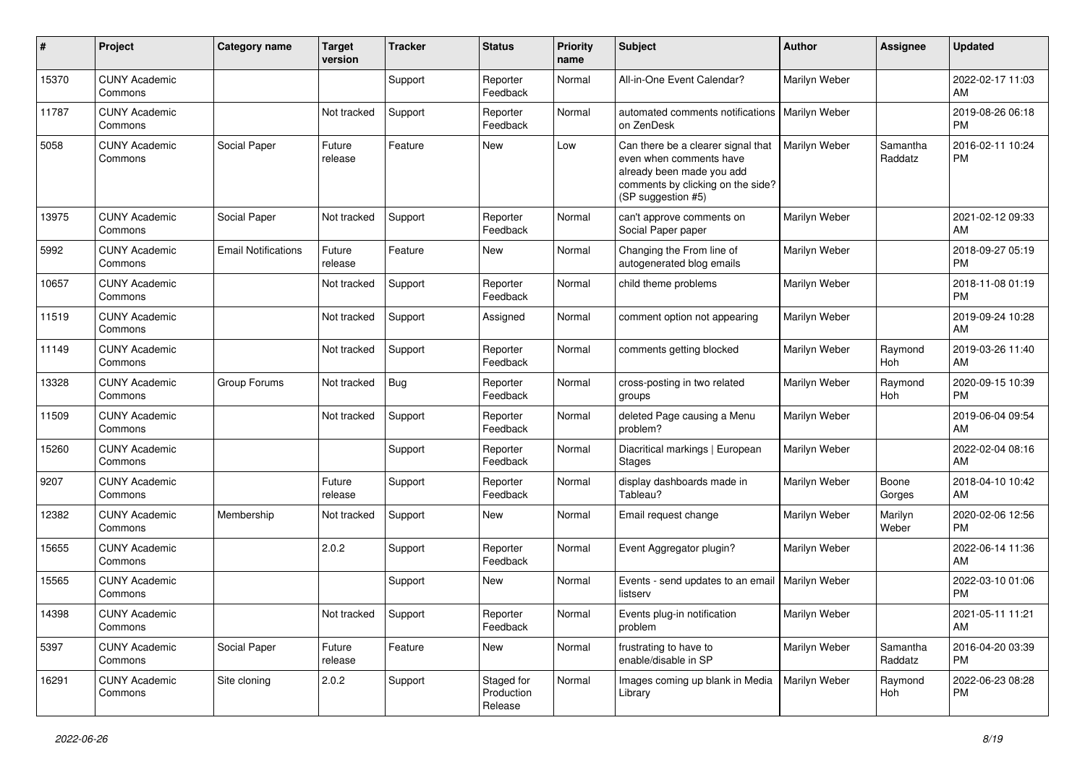| #     | Project                         | <b>Category name</b>       | Target<br>version   | Tracker | <b>Status</b>                       | <b>Priority</b><br>name | <b>Subject</b>                                                                                                                                        | <b>Author</b>        | <b>Assignee</b>     | <b>Updated</b>                |
|-------|---------------------------------|----------------------------|---------------------|---------|-------------------------------------|-------------------------|-------------------------------------------------------------------------------------------------------------------------------------------------------|----------------------|---------------------|-------------------------------|
| 15370 | <b>CUNY Academic</b><br>Commons |                            |                     | Support | Reporter<br>Feedback                | Normal                  | All-in-One Event Calendar?                                                                                                                            | Marilyn Weber        |                     | 2022-02-17 11:03<br>AM        |
| 11787 | <b>CUNY Academic</b><br>Commons |                            | Not tracked         | Support | Reporter<br>Feedback                | Normal                  | automated comments notifications<br>on ZenDesk                                                                                                        | <b>Marilyn Weber</b> |                     | 2019-08-26 06:18<br><b>PM</b> |
| 5058  | <b>CUNY Academic</b><br>Commons | Social Paper               | Future<br>release   | Feature | New                                 | Low                     | Can there be a clearer signal that<br>even when comments have<br>already been made you add<br>comments by clicking on the side?<br>(SP suggestion #5) | Marilyn Weber        | Samantha<br>Raddatz | 2016-02-11 10:24<br><b>PM</b> |
| 13975 | <b>CUNY Academic</b><br>Commons | Social Paper               | Not tracked         | Support | Reporter<br>Feedback                | Normal                  | can't approve comments on<br>Social Paper paper                                                                                                       | Marilyn Weber        |                     | 2021-02-12 09:33<br>AM        |
| 5992  | <b>CUNY Academic</b><br>Commons | <b>Email Notifications</b> | Future<br>release   | Feature | New                                 | Normal                  | Changing the From line of<br>autogenerated blog emails                                                                                                | Marilyn Weber        |                     | 2018-09-27 05:19<br><b>PM</b> |
| 10657 | <b>CUNY Academic</b><br>Commons |                            | Not tracked         | Support | Reporter<br>Feedback                | Normal                  | child theme problems                                                                                                                                  | Marilyn Weber        |                     | 2018-11-08 01:19<br><b>PM</b> |
| 11519 | <b>CUNY Academic</b><br>Commons |                            | Not tracked         | Support | Assigned                            | Normal                  | comment option not appearing                                                                                                                          | Marilyn Weber        |                     | 2019-09-24 10:28<br>AM        |
| 11149 | <b>CUNY Academic</b><br>Commons |                            | Not tracked         | Support | Reporter<br>Feedback                | Normal                  | comments getting blocked                                                                                                                              | Marilyn Weber        | Raymond<br>Hoh      | 2019-03-26 11:40<br>AM        |
| 13328 | <b>CUNY Academic</b><br>Commons | Group Forums               | Not tracked         | Bug     | Reporter<br>Feedback                | Normal                  | cross-posting in two related<br>groups                                                                                                                | Marilyn Weber        | Raymond<br>Hoh      | 2020-09-15 10:39<br><b>PM</b> |
| 11509 | <b>CUNY Academic</b><br>Commons |                            | Not tracked         | Support | Reporter<br>Feedback                | Normal                  | deleted Page causing a Menu<br>problem?                                                                                                               | Marilyn Weber        |                     | 2019-06-04 09:54<br>AM        |
| 15260 | <b>CUNY Academic</b><br>Commons |                            |                     | Support | Reporter<br>Feedback                | Normal                  | Diacritical markings   European<br><b>Stages</b>                                                                                                      | Marilyn Weber        |                     | 2022-02-04 08:16<br>AM        |
| 9207  | <b>CUNY Academic</b><br>Commons |                            | Future<br>release   | Support | Reporter<br>Feedback                | Normal                  | display dashboards made in<br>Tableau?                                                                                                                | Marilyn Weber        | Boone<br>Gorges     | 2018-04-10 10:42<br>AM        |
| 12382 | <b>CUNY Academic</b><br>Commons | Membership                 | Not tracked         | Support | New                                 | Normal                  | Email request change                                                                                                                                  | Marilyn Weber        | Marilyn<br>Weber    | 2020-02-06 12:56<br><b>PM</b> |
| 15655 | <b>CUNY Academic</b><br>Commons |                            | 2.0.2               | Support | Reporter<br>Feedback                | Normal                  | Event Aggregator plugin?                                                                                                                              | Marilyn Weber        |                     | 2022-06-14 11:36<br>AM        |
| 15565 | <b>CUNY Academic</b><br>Commons |                            |                     | Support | New                                 | Normal                  | Events - send updates to an email<br>listserv                                                                                                         | <b>Marilyn Weber</b> |                     | 2022-03-10 01:06<br><b>PM</b> |
| 14398 | <b>CUNY Academic</b><br>Commons |                            | Not tracked Support |         | Reporter<br>Feedback                | Normal                  | Events plug-in notification<br>problem                                                                                                                | Marilyn Weber        |                     | 2021-05-11 11:21<br>AM        |
| 5397  | <b>CUNY Academic</b><br>Commons | Social Paper               | Future<br>release   | Feature | New                                 | Normal                  | frustrating to have to<br>enable/disable in SP                                                                                                        | Marilyn Weber        | Samantha<br>Raddatz | 2016-04-20 03:39<br>PM        |
| 16291 | <b>CUNY Academic</b><br>Commons | Site cloning               | 2.0.2               | Support | Staged for<br>Production<br>Release | Normal                  | Images coming up blank in Media<br>Library                                                                                                            | Marilyn Weber        | Raymond<br>Hoh      | 2022-06-23 08:28<br><b>PM</b> |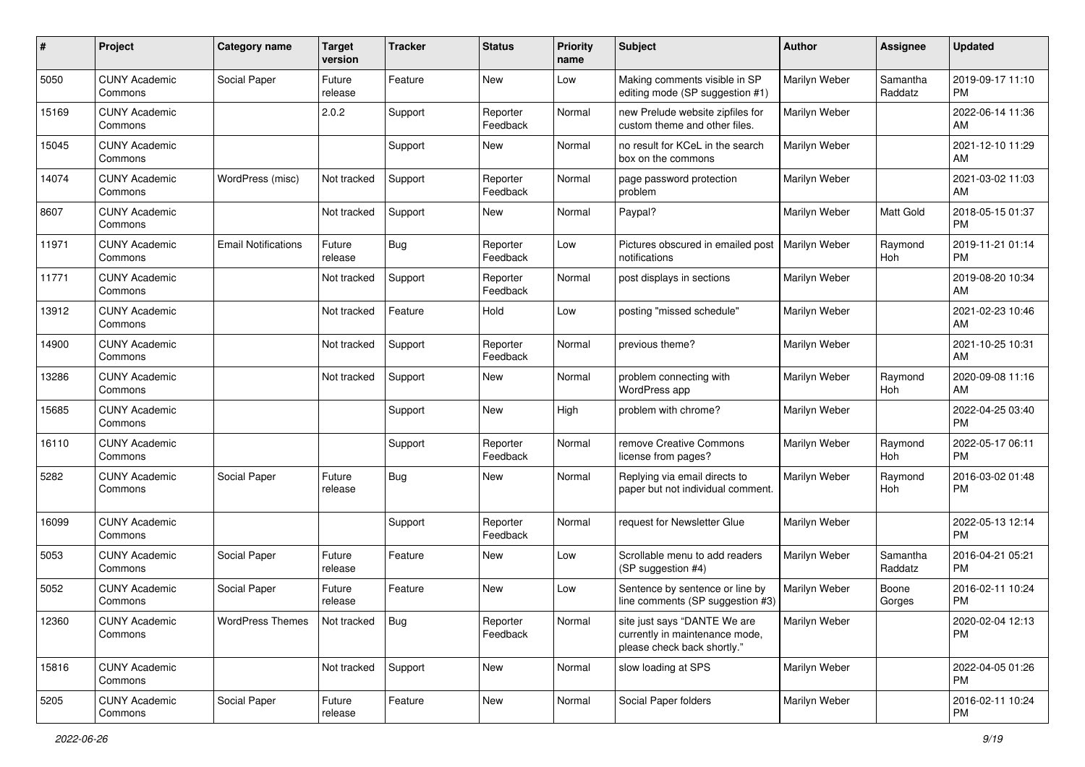| #     | Project                         | <b>Category name</b>       | Target<br>version | <b>Tracker</b> | <b>Status</b>        | <b>Priority</b><br>name | <b>Subject</b>                                                                                | <b>Author</b> | Assignee            | <b>Updated</b>                |
|-------|---------------------------------|----------------------------|-------------------|----------------|----------------------|-------------------------|-----------------------------------------------------------------------------------------------|---------------|---------------------|-------------------------------|
| 5050  | <b>CUNY Academic</b><br>Commons | Social Paper               | Future<br>release | Feature        | <b>New</b>           | Low                     | Making comments visible in SP<br>editing mode (SP suggestion #1)                              | Marilyn Weber | Samantha<br>Raddatz | 2019-09-17 11:10<br><b>PM</b> |
| 15169 | <b>CUNY Academic</b><br>Commons |                            | 2.0.2             | Support        | Reporter<br>Feedback | Normal                  | new Prelude website zipfiles for<br>custom theme and other files.                             | Marilyn Weber |                     | 2022-06-14 11:36<br>AM        |
| 15045 | <b>CUNY Academic</b><br>Commons |                            |                   | Support        | New                  | Normal                  | no result for KCeL in the search<br>box on the commons                                        | Marilyn Weber |                     | 2021-12-10 11:29<br>AM        |
| 14074 | <b>CUNY Academic</b><br>Commons | WordPress (misc)           | Not tracked       | Support        | Reporter<br>Feedback | Normal                  | page password protection<br>problem                                                           | Marilyn Weber |                     | 2021-03-02 11:03<br>AM        |
| 8607  | <b>CUNY Academic</b><br>Commons |                            | Not tracked       | Support        | New                  | Normal                  | Paypal?                                                                                       | Marilyn Weber | <b>Matt Gold</b>    | 2018-05-15 01:37<br><b>PM</b> |
| 11971 | <b>CUNY Academic</b><br>Commons | <b>Email Notifications</b> | Future<br>release | <b>Bug</b>     | Reporter<br>Feedback | Low                     | Pictures obscured in emailed post<br>notifications                                            | Marilyn Weber | Raymond<br>Hoh      | 2019-11-21 01:14<br><b>PM</b> |
| 11771 | <b>CUNY Academic</b><br>Commons |                            | Not tracked       | Support        | Reporter<br>Feedback | Normal                  | post displays in sections                                                                     | Marilyn Weber |                     | 2019-08-20 10:34<br>AM        |
| 13912 | <b>CUNY Academic</b><br>Commons |                            | Not tracked       | Feature        | Hold                 | Low                     | posting "missed schedule"                                                                     | Marilyn Weber |                     | 2021-02-23 10:46<br>AM        |
| 14900 | <b>CUNY Academic</b><br>Commons |                            | Not tracked       | Support        | Reporter<br>Feedback | Normal                  | previous theme?                                                                               | Marilyn Weber |                     | 2021-10-25 10:31<br>AM        |
| 13286 | <b>CUNY Academic</b><br>Commons |                            | Not tracked       | Support        | New                  | Normal                  | problem connecting with<br>WordPress app                                                      | Marilyn Weber | Raymond<br>Hoh      | 2020-09-08 11:16<br>AM        |
| 15685 | <b>CUNY Academic</b><br>Commons |                            |                   | Support        | <b>New</b>           | High                    | problem with chrome?                                                                          | Marilyn Weber |                     | 2022-04-25 03:40<br><b>PM</b> |
| 16110 | <b>CUNY Academic</b><br>Commons |                            |                   | Support        | Reporter<br>Feedback | Normal                  | remove Creative Commons<br>license from pages?                                                | Marilyn Weber | Raymond<br>Hoh      | 2022-05-17 06:11<br><b>PM</b> |
| 5282  | <b>CUNY Academic</b><br>Commons | Social Paper               | Future<br>release | <b>Bug</b>     | New                  | Normal                  | Replying via email directs to<br>paper but not individual comment.                            | Marilyn Weber | Raymond<br>Hoh      | 2016-03-02 01:48<br><b>PM</b> |
| 16099 | <b>CUNY Academic</b><br>Commons |                            |                   | Support        | Reporter<br>Feedback | Normal                  | request for Newsletter Glue                                                                   | Marilyn Weber |                     | 2022-05-13 12:14<br><b>PM</b> |
| 5053  | <b>CUNY Academic</b><br>Commons | Social Paper               | Future<br>release | Feature        | New                  | Low                     | Scrollable menu to add readers<br>(SP suggestion #4)                                          | Marilyn Weber | Samantha<br>Raddatz | 2016-04-21 05:21<br><b>PM</b> |
| 5052  | <b>CUNY Academic</b><br>Commons | Social Paper               | Future<br>release | Feature        | <b>New</b>           | Low                     | Sentence by sentence or line by<br>line comments (SP suggestion #3)                           | Marilyn Weber | Boone<br>Gorges     | 2016-02-11 10:24<br><b>PM</b> |
| 12360 | <b>CUNY Academic</b><br>Commons | <b>WordPress Themes</b>    | Not tracked       | Bug            | Reporter<br>Feedback | Normal                  | site just says "DANTE We are<br>currently in maintenance mode,<br>please check back shortly." | Marilyn Weber |                     | 2020-02-04 12:13<br><b>PM</b> |
| 15816 | <b>CUNY Academic</b><br>Commons |                            | Not tracked       | Support        | New                  | Normal                  | slow loading at SPS                                                                           | Marilyn Weber |                     | 2022-04-05 01:26<br><b>PM</b> |
| 5205  | <b>CUNY Academic</b><br>Commons | Social Paper               | Future<br>release | Feature        | New                  | Normal                  | Social Paper folders                                                                          | Marilyn Weber |                     | 2016-02-11 10:24<br>PM        |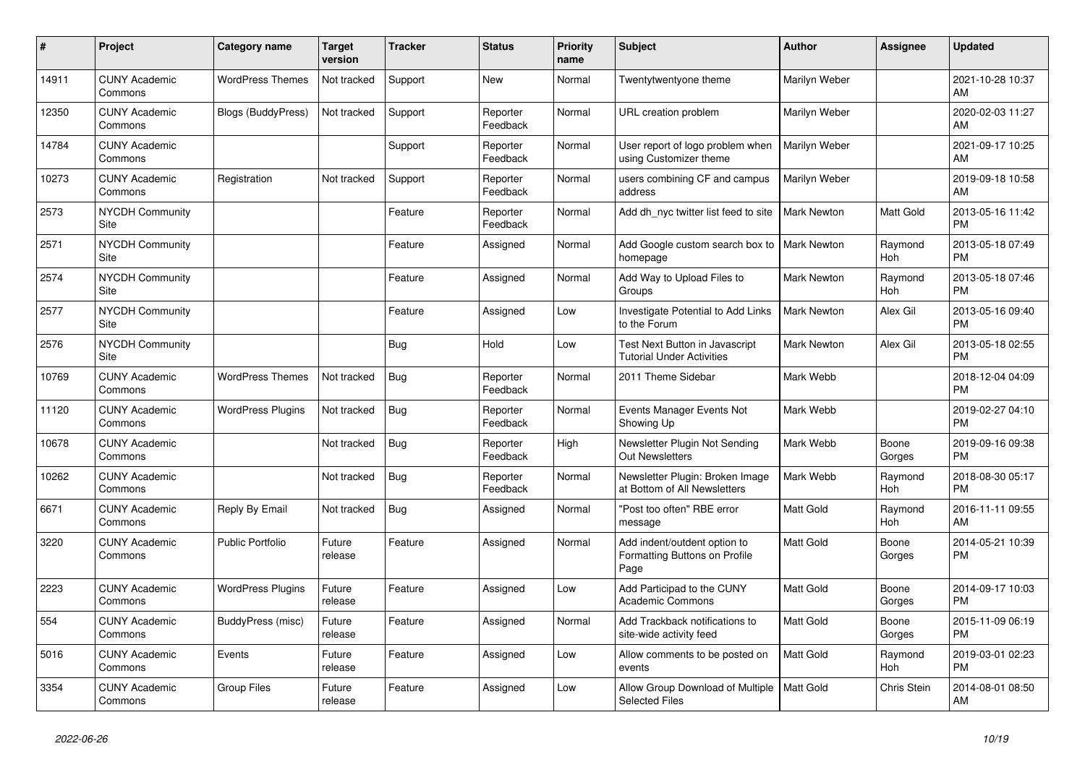| #     | Project                         | <b>Category name</b>      | Target<br>version | <b>Tracker</b> | <b>Status</b>        | <b>Priority</b><br>name | <b>Subject</b>                                                        | <b>Author</b>      | <b>Assignee</b>       | <b>Updated</b>                |
|-------|---------------------------------|---------------------------|-------------------|----------------|----------------------|-------------------------|-----------------------------------------------------------------------|--------------------|-----------------------|-------------------------------|
| 14911 | <b>CUNY Academic</b><br>Commons | <b>WordPress Themes</b>   | Not tracked       | Support        | <b>New</b>           | Normal                  | Twentytwentyone theme                                                 | Marilyn Weber      |                       | 2021-10-28 10:37<br>AM        |
| 12350 | <b>CUNY Academic</b><br>Commons | <b>Blogs (BuddyPress)</b> | Not tracked       | Support        | Reporter<br>Feedback | Normal                  | URL creation problem                                                  | Marilyn Weber      |                       | 2020-02-03 11:27<br>AM        |
| 14784 | <b>CUNY Academic</b><br>Commons |                           |                   | Support        | Reporter<br>Feedback | Normal                  | User report of logo problem when<br>using Customizer theme            | Marilyn Weber      |                       | 2021-09-17 10:25<br>AM        |
| 10273 | <b>CUNY Academic</b><br>Commons | Registration              | Not tracked       | Support        | Reporter<br>Feedback | Normal                  | users combining CF and campus<br>address                              | Marilyn Weber      |                       | 2019-09-18 10:58<br>AM        |
| 2573  | <b>NYCDH Community</b><br>Site  |                           |                   | Feature        | Reporter<br>Feedback | Normal                  | Add dh nyc twitter list feed to site                                  | <b>Mark Newton</b> | Matt Gold             | 2013-05-16 11:42<br><b>PM</b> |
| 2571  | <b>NYCDH Community</b><br>Site  |                           |                   | Feature        | Assigned             | Normal                  | Add Google custom search box to   Mark Newton<br>homepage             |                    | Raymond<br>Hoh        | 2013-05-18 07:49<br><b>PM</b> |
| 2574  | <b>NYCDH Community</b><br>Site  |                           |                   | Feature        | Assigned             | Normal                  | Add Way to Upload Files to<br>Groups                                  | <b>Mark Newton</b> | Raymond<br>Hoh        | 2013-05-18 07:46<br><b>PM</b> |
| 2577  | <b>NYCDH Community</b><br>Site  |                           |                   | Feature        | Assigned             | Low                     | Investigate Potential to Add Links<br>to the Forum                    | <b>Mark Newton</b> | Alex Gil              | 2013-05-16 09:40<br><b>PM</b> |
| 2576  | <b>NYCDH Community</b><br>Site  |                           |                   | Bug            | Hold                 | Low                     | Test Next Button in Javascript<br><b>Tutorial Under Activities</b>    | Mark Newton        | Alex Gil              | 2013-05-18 02:55<br><b>PM</b> |
| 10769 | <b>CUNY Academic</b><br>Commons | <b>WordPress Themes</b>   | Not tracked       | <b>Bug</b>     | Reporter<br>Feedback | Normal                  | 2011 Theme Sidebar                                                    | Mark Webb          |                       | 2018-12-04 04:09<br><b>PM</b> |
| 11120 | <b>CUNY Academic</b><br>Commons | <b>WordPress Plugins</b>  | Not tracked       | Bug            | Reporter<br>Feedback | Normal                  | Events Manager Events Not<br>Showing Up                               | Mark Webb          |                       | 2019-02-27 04:10<br><b>PM</b> |
| 10678 | <b>CUNY Academic</b><br>Commons |                           | Not tracked       | <b>Bug</b>     | Reporter<br>Feedback | High                    | Newsletter Plugin Not Sending<br><b>Out Newsletters</b>               | Mark Webb          | Boone<br>Gorges       | 2019-09-16 09:38<br><b>PM</b> |
| 10262 | <b>CUNY Academic</b><br>Commons |                           | Not tracked       | <b>Bug</b>     | Reporter<br>Feedback | Normal                  | Newsletter Plugin: Broken Image<br>at Bottom of All Newsletters       | Mark Webb          | Raymond<br><b>Hoh</b> | 2018-08-30 05:17<br><b>PM</b> |
| 6671  | <b>CUNY Academic</b><br>Commons | Reply By Email            | Not tracked       | Bug            | Assigned             | Normal                  | "Post too often" RBE error<br>message                                 | Matt Gold          | Raymond<br>Hoh        | 2016-11-11 09:55<br>AM        |
| 3220  | <b>CUNY Academic</b><br>Commons | <b>Public Portfolio</b>   | Future<br>release | Feature        | Assigned             | Normal                  | Add indent/outdent option to<br>Formatting Buttons on Profile<br>Page | Matt Gold          | Boone<br>Gorges       | 2014-05-21 10:39<br><b>PM</b> |
| 2223  | <b>CUNY Academic</b><br>Commons | <b>WordPress Plugins</b>  | Future<br>release | Feature        | Assigned             | Low                     | Add Participad to the CUNY<br><b>Academic Commons</b>                 | <b>Matt Gold</b>   | Boone<br>Gorges       | 2014-09-17 10:03<br><b>PM</b> |
| 554   | <b>CUNY Academic</b><br>Commons | BuddyPress (misc)         | Future<br>release | Feature        | Assigned             | Normal                  | Add Trackback notifications to<br>site-wide activity feed             | Matt Gold          | Boone<br>Gorges       | 2015-11-09 06:19<br><b>PM</b> |
| 5016  | <b>CUNY Academic</b><br>Commons | Events                    | Future<br>release | Feature        | Assigned             | Low                     | Allow comments to be posted on<br>events                              | Matt Gold          | Raymond<br>Hoh        | 2019-03-01 02:23<br><b>PM</b> |
| 3354  | <b>CUNY Academic</b><br>Commons | <b>Group Files</b>        | Future<br>release | Feature        | Assigned             | Low                     | Allow Group Download of Multiple<br><b>Selected Files</b>             | Matt Gold          | Chris Stein           | 2014-08-01 08:50<br>AM        |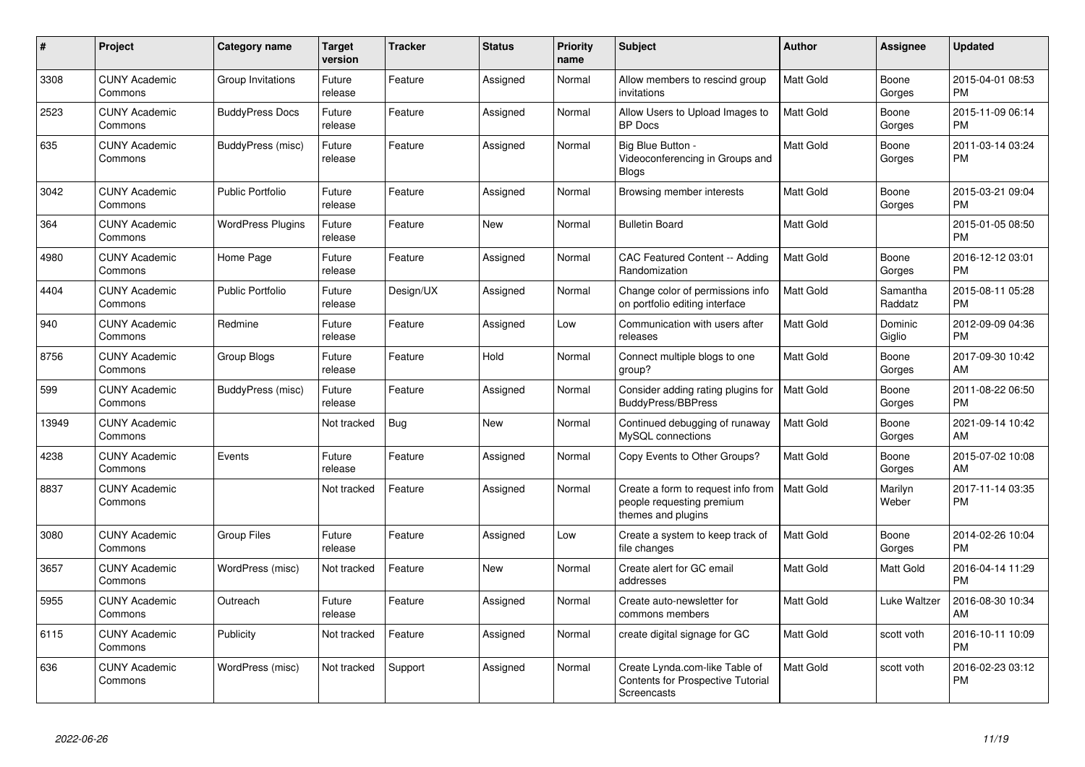| #     | Project                         | <b>Category name</b>     | Target<br>version | <b>Tracker</b> | <b>Status</b> | <b>Priority</b><br>name | <b>Subject</b>                                                                            | <b>Author</b>    | <b>Assignee</b>     | <b>Updated</b>                |
|-------|---------------------------------|--------------------------|-------------------|----------------|---------------|-------------------------|-------------------------------------------------------------------------------------------|------------------|---------------------|-------------------------------|
| 3308  | <b>CUNY Academic</b><br>Commons | Group Invitations        | Future<br>release | Feature        | Assigned      | Normal                  | Allow members to rescind group<br>invitations                                             | <b>Matt Gold</b> | Boone<br>Gorges     | 2015-04-01 08:53<br><b>PM</b> |
| 2523  | <b>CUNY Academic</b><br>Commons | <b>BuddyPress Docs</b>   | Future<br>release | Feature        | Assigned      | Normal                  | Allow Users to Upload Images to<br><b>BP</b> Docs                                         | <b>Matt Gold</b> | Boone<br>Gorges     | 2015-11-09 06:14<br><b>PM</b> |
| 635   | <b>CUNY Academic</b><br>Commons | BuddyPress (misc)        | Future<br>release | Feature        | Assigned      | Normal                  | Big Blue Button -<br>Videoconferencing in Groups and<br><b>Blogs</b>                      | Matt Gold        | Boone<br>Gorges     | 2011-03-14 03:24<br><b>PM</b> |
| 3042  | <b>CUNY Academic</b><br>Commons | <b>Public Portfolio</b>  | Future<br>release | Feature        | Assigned      | Normal                  | Browsing member interests                                                                 | <b>Matt Gold</b> | Boone<br>Gorges     | 2015-03-21 09:04<br><b>PM</b> |
| 364   | <b>CUNY Academic</b><br>Commons | <b>WordPress Plugins</b> | Future<br>release | Feature        | <b>New</b>    | Normal                  | <b>Bulletin Board</b>                                                                     | Matt Gold        |                     | 2015-01-05 08:50<br><b>PM</b> |
| 4980  | <b>CUNY Academic</b><br>Commons | Home Page                | Future<br>release | Feature        | Assigned      | Normal                  | CAC Featured Content -- Adding<br>Randomization                                           | <b>Matt Gold</b> | Boone<br>Gorges     | 2016-12-12 03:01<br><b>PM</b> |
| 4404  | <b>CUNY Academic</b><br>Commons | <b>Public Portfolio</b>  | Future<br>release | Design/UX      | Assigned      | Normal                  | Change color of permissions info<br>on portfolio editing interface                        | <b>Matt Gold</b> | Samantha<br>Raddatz | 2015-08-11 05:28<br><b>PM</b> |
| 940   | <b>CUNY Academic</b><br>Commons | Redmine                  | Future<br>release | Feature        | Assigned      | Low                     | Communication with users after<br>releases                                                | Matt Gold        | Dominic<br>Giglio   | 2012-09-09 04:36<br><b>PM</b> |
| 8756  | <b>CUNY Academic</b><br>Commons | Group Blogs              | Future<br>release | Feature        | Hold          | Normal                  | Connect multiple blogs to one<br>group?                                                   | <b>Matt Gold</b> | Boone<br>Gorges     | 2017-09-30 10:42<br>AM        |
| 599   | <b>CUNY Academic</b><br>Commons | BuddyPress (misc)        | Future<br>release | Feature        | Assigned      | Normal                  | Consider adding rating plugins for<br><b>BuddyPress/BBPress</b>                           | <b>Matt Gold</b> | Boone<br>Gorges     | 2011-08-22 06:50<br><b>PM</b> |
| 13949 | <b>CUNY Academic</b><br>Commons |                          | Not tracked       | Bug            | <b>New</b>    | Normal                  | Continued debugging of runaway<br>MySQL connections                                       | <b>Matt Gold</b> | Boone<br>Gorges     | 2021-09-14 10:42<br>AM        |
| 4238  | <b>CUNY Academic</b><br>Commons | Events                   | Future<br>release | Feature        | Assigned      | Normal                  | Copy Events to Other Groups?                                                              | <b>Matt Gold</b> | Boone<br>Gorges     | 2015-07-02 10:08<br>AM        |
| 8837  | <b>CUNY Academic</b><br>Commons |                          | Not tracked       | Feature        | Assigned      | Normal                  | Create a form to request info from<br>people requesting premium<br>themes and plugins     | Matt Gold        | Marilyn<br>Weber    | 2017-11-14 03:35<br><b>PM</b> |
| 3080  | <b>CUNY Academic</b><br>Commons | <b>Group Files</b>       | Future<br>release | Feature        | Assigned      | Low                     | Create a system to keep track of<br>file changes                                          | <b>Matt Gold</b> | Boone<br>Gorges     | 2014-02-26 10:04<br><b>PM</b> |
| 3657  | <b>CUNY Academic</b><br>Commons | WordPress (misc)         | Not tracked       | Feature        | New           | Normal                  | Create alert for GC email<br>addresses                                                    | Matt Gold        | Matt Gold           | 2016-04-14 11:29<br><b>PM</b> |
| 5955  | <b>CUNY Academic</b><br>Commons | Outreach                 | Future<br>release | Feature        | Assigned      | Normal                  | Create auto-newsletter for<br>commons members                                             | Matt Gold        | Luke Waltzer        | 2016-08-30 10:34<br>AM        |
| 6115  | <b>CUNY Academic</b><br>Commons | Publicity                | Not tracked       | Feature        | Assigned      | Normal                  | create digital signage for GC                                                             | Matt Gold        | scott voth          | 2016-10-11 10:09<br><b>PM</b> |
| 636   | <b>CUNY Academic</b><br>Commons | WordPress (misc)         | Not tracked       | Support        | Assigned      | Normal                  | Create Lynda.com-like Table of<br><b>Contents for Prospective Tutorial</b><br>Screencasts | <b>Matt Gold</b> | scott voth          | 2016-02-23 03:12<br><b>PM</b> |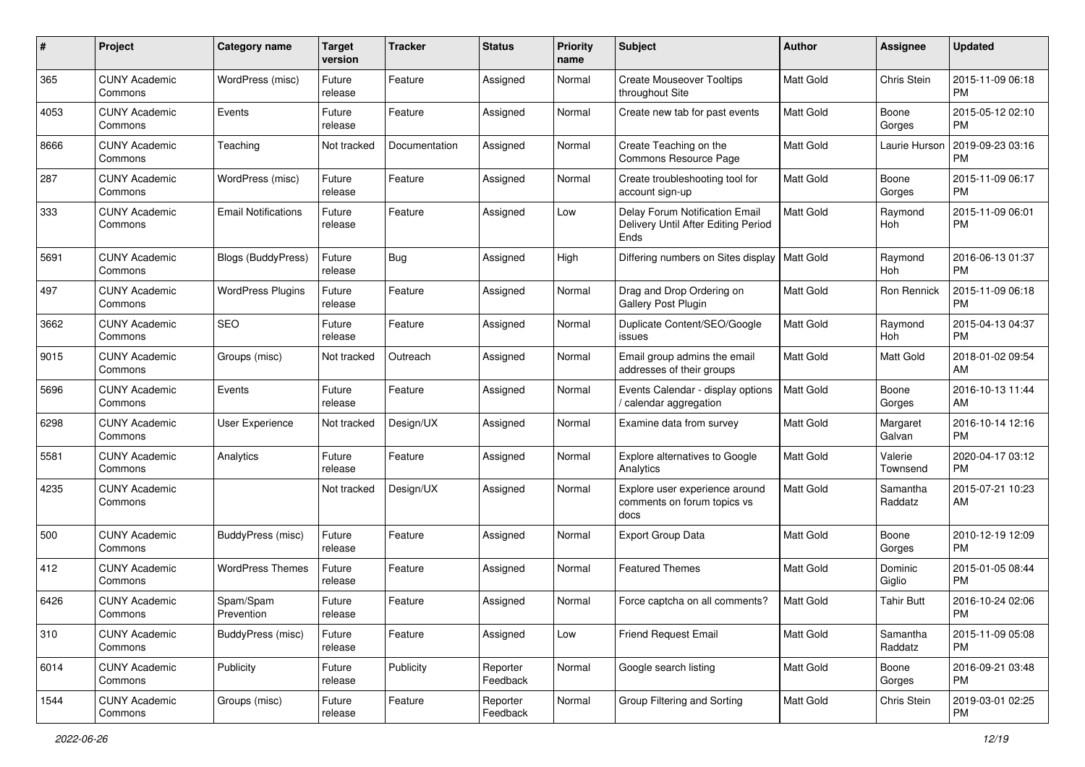| #    | Project                         | <b>Category name</b>       | <b>Target</b><br>version | <b>Tracker</b> | <b>Status</b>        | <b>Priority</b><br>name | Subject                                                                       | Author           | <b>Assignee</b>     | <b>Updated</b>                |
|------|---------------------------------|----------------------------|--------------------------|----------------|----------------------|-------------------------|-------------------------------------------------------------------------------|------------------|---------------------|-------------------------------|
| 365  | <b>CUNY Academic</b><br>Commons | WordPress (misc)           | Future<br>release        | Feature        | Assigned             | Normal                  | <b>Create Mouseover Tooltips</b><br>throughout Site                           | <b>Matt Gold</b> | Chris Stein         | 2015-11-09 06:18<br><b>PM</b> |
| 4053 | <b>CUNY Academic</b><br>Commons | Events                     | Future<br>release        | Feature        | Assigned             | Normal                  | Create new tab for past events                                                | Matt Gold        | Boone<br>Gorges     | 2015-05-12 02:10<br>PM        |
| 8666 | <b>CUNY Academic</b><br>Commons | Teaching                   | Not tracked              | Documentation  | Assigned             | Normal                  | Create Teaching on the<br>Commons Resource Page                               | Matt Gold        | Laurie Hurson       | 2019-09-23 03:16<br><b>PM</b> |
| 287  | <b>CUNY Academic</b><br>Commons | WordPress (misc)           | Future<br>release        | Feature        | Assigned             | Normal                  | Create troubleshooting tool for<br>account sign-up                            | <b>Matt Gold</b> | Boone<br>Gorges     | 2015-11-09 06:17<br><b>PM</b> |
| 333  | <b>CUNY Academic</b><br>Commons | <b>Email Notifications</b> | Future<br>release        | Feature        | Assigned             | Low                     | Delay Forum Notification Email<br>Delivery Until After Editing Period<br>Ends | <b>Matt Gold</b> | Raymond<br>Hoh      | 2015-11-09 06:01<br><b>PM</b> |
| 5691 | <b>CUNY Academic</b><br>Commons | <b>Blogs (BuddyPress)</b>  | Future<br>release        | Bug            | Assigned             | High                    | Differing numbers on Sites display                                            | Matt Gold        | Raymond<br>Hoh      | 2016-06-13 01:37<br><b>PM</b> |
| 497  | <b>CUNY Academic</b><br>Commons | <b>WordPress Plugins</b>   | Future<br>release        | Feature        | Assigned             | Normal                  | Drag and Drop Ordering on<br>Gallery Post Plugin                              | Matt Gold        | <b>Ron Rennick</b>  | 2015-11-09 06:18<br><b>PM</b> |
| 3662 | <b>CUNY Academic</b><br>Commons | <b>SEO</b>                 | Future<br>release        | Feature        | Assigned             | Normal                  | Duplicate Content/SEO/Google<br>issues                                        | Matt Gold        | Raymond<br>Hoh      | 2015-04-13 04:37<br><b>PM</b> |
| 9015 | <b>CUNY Academic</b><br>Commons | Groups (misc)              | Not tracked              | Outreach       | Assigned             | Normal                  | Email group admins the email<br>addresses of their groups                     | <b>Matt Gold</b> | Matt Gold           | 2018-01-02 09:54<br>AM        |
| 5696 | <b>CUNY Academic</b><br>Commons | Events                     | Future<br>release        | Feature        | Assigned             | Normal                  | Events Calendar - display options<br>/ calendar aggregation                   | <b>Matt Gold</b> | Boone<br>Gorges     | 2016-10-13 11:44<br>AM        |
| 6298 | <b>CUNY Academic</b><br>Commons | User Experience            | Not tracked              | Design/UX      | Assigned             | Normal                  | Examine data from survey                                                      | Matt Gold        | Margaret<br>Galvan  | 2016-10-14 12:16<br><b>PM</b> |
| 5581 | <b>CUNY Academic</b><br>Commons | Analytics                  | Future<br>release        | Feature        | Assigned             | Normal                  | Explore alternatives to Google<br>Analytics                                   | <b>Matt Gold</b> | Valerie<br>Townsend | 2020-04-17 03:12<br><b>PM</b> |
| 4235 | <b>CUNY Academic</b><br>Commons |                            | Not tracked              | Design/UX      | Assigned             | Normal                  | Explore user experience around<br>comments on forum topics vs<br>docs         | <b>Matt Gold</b> | Samantha<br>Raddatz | 2015-07-21 10:23<br>AM        |
| 500  | <b>CUNY Academic</b><br>Commons | BuddyPress (misc)          | Future<br>release        | Feature        | Assigned             | Normal                  | <b>Export Group Data</b>                                                      | <b>Matt Gold</b> | Boone<br>Gorges     | 2010-12-19 12:09<br><b>PM</b> |
| 412  | <b>CUNY Academic</b><br>Commons | <b>WordPress Themes</b>    | Future<br>release        | Feature        | Assigned             | Normal                  | <b>Featured Themes</b>                                                        | <b>Matt Gold</b> | Dominic<br>Giglio   | 2015-01-05 08:44<br><b>PM</b> |
| 6426 | <b>CUNY Academic</b><br>Commons | Spam/Spam<br>Prevention    | Future<br>release        | Feature        | Assigned             | Normal                  | Force captcha on all comments?                                                | Matt Gold        | <b>Tahir Butt</b>   | 2016-10-24 02:06<br>PM        |
| 310  | <b>CUNY Academic</b><br>Commons | BuddyPress (misc)          | Future<br>release        | Feature        | Assigned             | Low                     | <b>Friend Request Email</b>                                                   | Matt Gold        | Samantha<br>Raddatz | 2015-11-09 05:08<br>PM        |
| 6014 | <b>CUNY Academic</b><br>Commons | Publicity                  | Future<br>release        | Publicity      | Reporter<br>Feedback | Normal                  | Google search listing                                                         | Matt Gold        | Boone<br>Gorges     | 2016-09-21 03:48<br><b>PM</b> |
| 1544 | <b>CUNY Academic</b><br>Commons | Groups (misc)              | Future<br>release        | Feature        | Reporter<br>Feedback | Normal                  | Group Filtering and Sorting                                                   | Matt Gold        | Chris Stein         | 2019-03-01 02:25<br><b>PM</b> |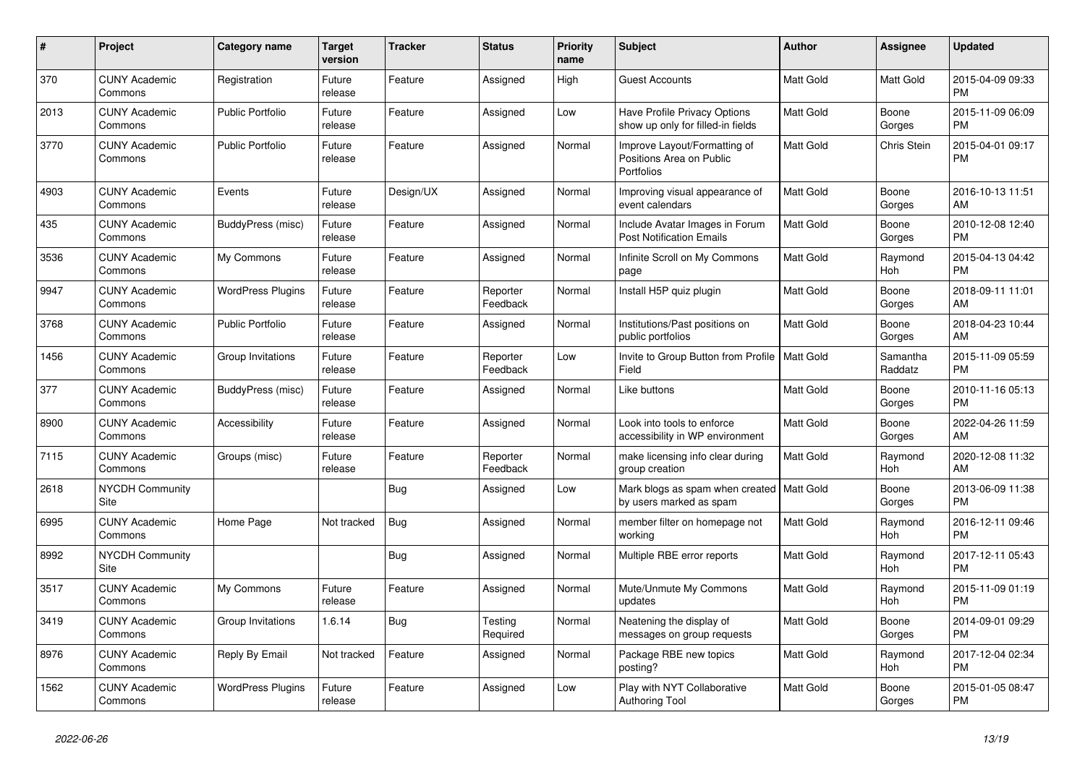| $\#$ | <b>Project</b>                  | Category name            | <b>Target</b><br>version | <b>Tracker</b> | <b>Status</b>        | <b>Priority</b><br>name | <b>Subject</b>                                                         | Author           | Assignee            | <b>Updated</b>                |
|------|---------------------------------|--------------------------|--------------------------|----------------|----------------------|-------------------------|------------------------------------------------------------------------|------------------|---------------------|-------------------------------|
| 370  | <b>CUNY Academic</b><br>Commons | Registration             | Future<br>release        | Feature        | Assigned             | High                    | <b>Guest Accounts</b>                                                  | <b>Matt Gold</b> | Matt Gold           | 2015-04-09 09:33<br><b>PM</b> |
| 2013 | <b>CUNY Academic</b><br>Commons | <b>Public Portfolio</b>  | Future<br>release        | Feature        | Assigned             | Low                     | Have Profile Privacy Options<br>show up only for filled-in fields      | <b>Matt Gold</b> | Boone<br>Gorges     | 2015-11-09 06:09<br><b>PM</b> |
| 3770 | <b>CUNY Academic</b><br>Commons | <b>Public Portfolio</b>  | Future<br>release        | Feature        | Assigned             | Normal                  | Improve Layout/Formatting of<br>Positions Area on Public<br>Portfolios | <b>Matt Gold</b> | Chris Stein         | 2015-04-01 09:17<br><b>PM</b> |
| 4903 | <b>CUNY Academic</b><br>Commons | Events                   | Future<br>release        | Design/UX      | Assigned             | Normal                  | Improving visual appearance of<br>event calendars                      | <b>Matt Gold</b> | Boone<br>Gorges     | 2016-10-13 11:51<br>AM        |
| 435  | <b>CUNY Academic</b><br>Commons | BuddyPress (misc)        | Future<br>release        | Feature        | Assigned             | Normal                  | Include Avatar Images in Forum<br><b>Post Notification Emails</b>      | <b>Matt Gold</b> | Boone<br>Gorges     | 2010-12-08 12:40<br><b>PM</b> |
| 3536 | <b>CUNY Academic</b><br>Commons | My Commons               | Future<br>release        | Feature        | Assigned             | Normal                  | Infinite Scroll on My Commons<br>page                                  | <b>Matt Gold</b> | Raymond<br>Hoh      | 2015-04-13 04:42<br><b>PM</b> |
| 9947 | <b>CUNY Academic</b><br>Commons | <b>WordPress Plugins</b> | Future<br>release        | Feature        | Reporter<br>Feedback | Normal                  | Install H5P quiz plugin                                                | Matt Gold        | Boone<br>Gorges     | 2018-09-11 11:01<br>AM        |
| 3768 | <b>CUNY Academic</b><br>Commons | <b>Public Portfolio</b>  | Future<br>release        | Feature        | Assigned             | Normal                  | Institutions/Past positions on<br>public portfolios                    | <b>Matt Gold</b> | Boone<br>Gorges     | 2018-04-23 10:44<br>AM        |
| 1456 | <b>CUNY Academic</b><br>Commons | Group Invitations        | Future<br>release        | Feature        | Reporter<br>Feedback | Low                     | Invite to Group Button from Profile   Matt Gold<br>Field               |                  | Samantha<br>Raddatz | 2015-11-09 05:59<br><b>PM</b> |
| 377  | <b>CUNY Academic</b><br>Commons | BuddyPress (misc)        | Future<br>release        | Feature        | Assigned             | Normal                  | Like buttons                                                           | Matt Gold        | Boone<br>Gorges     | 2010-11-16 05:13<br><b>PM</b> |
| 8900 | <b>CUNY Academic</b><br>Commons | Accessibility            | Future<br>release        | Feature        | Assigned             | Normal                  | Look into tools to enforce<br>accessibility in WP environment          | <b>Matt Gold</b> | Boone<br>Gorges     | 2022-04-26 11:59<br>AM        |
| 7115 | <b>CUNY Academic</b><br>Commons | Groups (misc)            | Future<br>release        | Feature        | Reporter<br>Feedback | Normal                  | make licensing info clear during<br>group creation                     | <b>Matt Gold</b> | Raymond<br>Hoh      | 2020-12-08 11:32<br>AM        |
| 2618 | NYCDH Community<br>Site         |                          |                          | Bug            | Assigned             | Low                     | Mark blogs as spam when created   Matt Gold<br>by users marked as spam |                  | Boone<br>Gorges     | 2013-06-09 11:38<br><b>PM</b> |
| 6995 | <b>CUNY Academic</b><br>Commons | Home Page                | Not tracked              | Bug            | Assigned             | Normal                  | member filter on homepage not<br>working                               | Matt Gold        | Raymond<br>Hoh      | 2016-12-11 09:46<br><b>PM</b> |
| 8992 | <b>NYCDH Community</b><br>Site  |                          |                          | <b>Bug</b>     | Assigned             | Normal                  | Multiple RBE error reports                                             | Matt Gold        | Raymond<br>Hoh      | 2017-12-11 05:43<br><b>PM</b> |
| 3517 | <b>CUNY Academic</b><br>Commons | My Commons               | Future<br>release        | Feature        | Assigned             | Normal                  | Mute/Unmute My Commons<br>updates                                      | <b>Matt Gold</b> | Raymond<br>Hoh      | 2015-11-09 01:19<br><b>PM</b> |
| 3419 | <b>CUNY Academic</b><br>Commons | Group Invitations        | 1.6.14                   | <b>Bug</b>     | Testing<br>Required  | Normal                  | Neatening the display of<br>messages on group requests                 | Matt Gold        | Boone<br>Gorges     | 2014-09-01 09:29<br><b>PM</b> |
| 8976 | <b>CUNY Academic</b><br>Commons | Reply By Email           | Not tracked              | Feature        | Assigned             | Normal                  | Package RBE new topics<br>posting?                                     | Matt Gold        | Raymond<br>Hoh      | 2017-12-04 02:34<br><b>PM</b> |
| 1562 | <b>CUNY Academic</b><br>Commons | <b>WordPress Plugins</b> | Future<br>release        | Feature        | Assigned             | Low                     | Play with NYT Collaborative<br><b>Authoring Tool</b>                   | <b>Matt Gold</b> | Boone<br>Gorges     | 2015-01-05 08:47<br><b>PM</b> |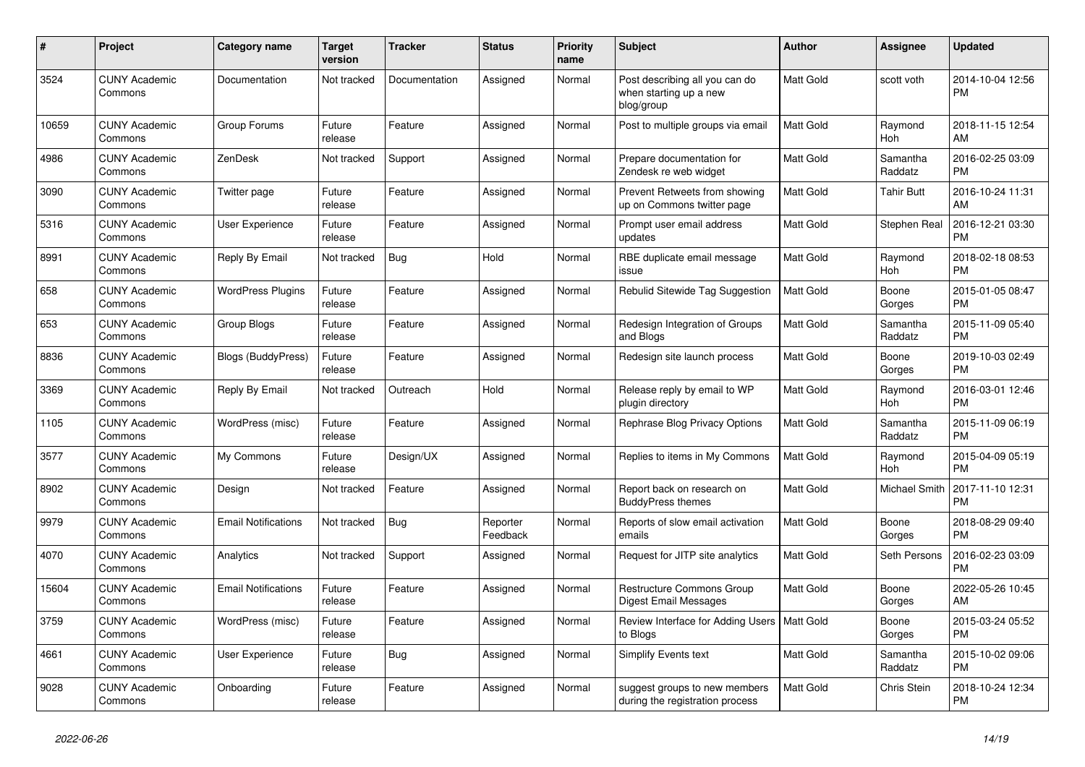| $\pmb{\#}$ | <b>Project</b>                  | Category name              | <b>Target</b><br>version | <b>Tracker</b> | <b>Status</b>        | <b>Priority</b><br>name | <b>Subject</b>                                                         | <b>Author</b>    | <b>Assignee</b>       | <b>Updated</b>                |
|------------|---------------------------------|----------------------------|--------------------------|----------------|----------------------|-------------------------|------------------------------------------------------------------------|------------------|-----------------------|-------------------------------|
| 3524       | <b>CUNY Academic</b><br>Commons | Documentation              | Not tracked              | Documentation  | Assigned             | Normal                  | Post describing all you can do<br>when starting up a new<br>blog/group | <b>Matt Gold</b> | scott voth            | 2014-10-04 12:56<br><b>PM</b> |
| 10659      | <b>CUNY Academic</b><br>Commons | Group Forums               | Future<br>release        | Feature        | Assigned             | Normal                  | Post to multiple groups via email                                      | Matt Gold        | Raymond<br><b>Hoh</b> | 2018-11-15 12:54<br>AM        |
| 4986       | <b>CUNY Academic</b><br>Commons | ZenDesk                    | Not tracked              | Support        | Assigned             | Normal                  | Prepare documentation for<br>Zendesk re web widget                     | Matt Gold        | Samantha<br>Raddatz   | 2016-02-25 03:09<br><b>PM</b> |
| 3090       | <b>CUNY Academic</b><br>Commons | Twitter page               | Future<br>release        | Feature        | Assigned             | Normal                  | Prevent Retweets from showing<br>up on Commons twitter page            | <b>Matt Gold</b> | <b>Tahir Butt</b>     | 2016-10-24 11:31<br>AM        |
| 5316       | <b>CUNY Academic</b><br>Commons | User Experience            | Future<br>release        | Feature        | Assigned             | Normal                  | Prompt user email address<br>updates                                   | <b>Matt Gold</b> | Stephen Real          | 2016-12-21 03:30<br><b>PM</b> |
| 8991       | <b>CUNY Academic</b><br>Commons | Reply By Email             | Not tracked              | <b>Bug</b>     | Hold                 | Normal                  | RBE duplicate email message<br>issue                                   | <b>Matt Gold</b> | Raymond<br>Hoh        | 2018-02-18 08:53<br><b>PM</b> |
| 658        | <b>CUNY Academic</b><br>Commons | <b>WordPress Plugins</b>   | Future<br>release        | Feature        | Assigned             | Normal                  | Rebulid Sitewide Tag Suggestion                                        | <b>Matt Gold</b> | Boone<br>Gorges       | 2015-01-05 08:47<br><b>PM</b> |
| 653        | <b>CUNY Academic</b><br>Commons | Group Blogs                | Future<br>release        | Feature        | Assigned             | Normal                  | Redesign Integration of Groups<br>and Blogs                            | <b>Matt Gold</b> | Samantha<br>Raddatz   | 2015-11-09 05:40<br><b>PM</b> |
| 8836       | <b>CUNY Academic</b><br>Commons | Blogs (BuddyPress)         | Future<br>release        | Feature        | Assigned             | Normal                  | Redesign site launch process                                           | Matt Gold        | Boone<br>Gorges       | 2019-10-03 02:49<br><b>PM</b> |
| 3369       | <b>CUNY Academic</b><br>Commons | Reply By Email             | Not tracked              | Outreach       | Hold                 | Normal                  | Release reply by email to WP<br>plugin directory                       | <b>Matt Gold</b> | Raymond<br>Hoh        | 2016-03-01 12:46<br><b>PM</b> |
| 1105       | <b>CUNY Academic</b><br>Commons | WordPress (misc)           | Future<br>release        | Feature        | Assigned             | Normal                  | Rephrase Blog Privacy Options                                          | <b>Matt Gold</b> | Samantha<br>Raddatz   | 2015-11-09 06:19<br><b>PM</b> |
| 3577       | <b>CUNY Academic</b><br>Commons | My Commons                 | Future<br>release        | Design/UX      | Assigned             | Normal                  | Replies to items in My Commons                                         | <b>Matt Gold</b> | Raymond<br><b>Hoh</b> | 2015-04-09 05:19<br><b>PM</b> |
| 8902       | <b>CUNY Academic</b><br>Commons | Design                     | Not tracked              | Feature        | Assigned             | Normal                  | Report back on research on<br><b>BuddyPress themes</b>                 | Matt Gold        | Michael Smith         | 2017-11-10 12:31<br><b>PM</b> |
| 9979       | <b>CUNY Academic</b><br>Commons | <b>Email Notifications</b> | Not tracked              | <b>Bug</b>     | Reporter<br>Feedback | Normal                  | Reports of slow email activation<br>emails                             | <b>Matt Gold</b> | Boone<br>Gorges       | 2018-08-29 09:40<br><b>PM</b> |
| 4070       | <b>CUNY Academic</b><br>Commons | Analytics                  | Not tracked              | Support        | Assigned             | Normal                  | Request for JITP site analytics                                        | Matt Gold        | Seth Persons          | 2016-02-23 03:09<br><b>PM</b> |
| 15604      | <b>CUNY Academic</b><br>Commons | <b>Email Notifications</b> | Future<br>release        | Feature        | Assigned             | Normal                  | Restructure Commons Group<br><b>Digest Email Messages</b>              | Matt Gold        | Boone<br>Gorges       | 2022-05-26 10:45<br>AM        |
| 3759       | <b>CUNY Academic</b><br>Commons | WordPress (misc)           | Future<br>release        | Feature        | Assigned             | Normal                  | Review Interface for Adding Users   Matt Gold<br>to Blogs              |                  | Boone<br>Gorges       | 2015-03-24 05:52<br><b>PM</b> |
| 4661       | <b>CUNY Academic</b><br>Commons | <b>User Experience</b>     | Future<br>release        | <b>Bug</b>     | Assigned             | Normal                  | <b>Simplify Events text</b>                                            | Matt Gold        | Samantha<br>Raddatz   | 2015-10-02 09:06<br><b>PM</b> |
| 9028       | <b>CUNY Academic</b><br>Commons | Onboarding                 | Future<br>release        | Feature        | Assigned             | Normal                  | suggest groups to new members<br>during the registration process       | <b>Matt Gold</b> | Chris Stein           | 2018-10-24 12:34<br><b>PM</b> |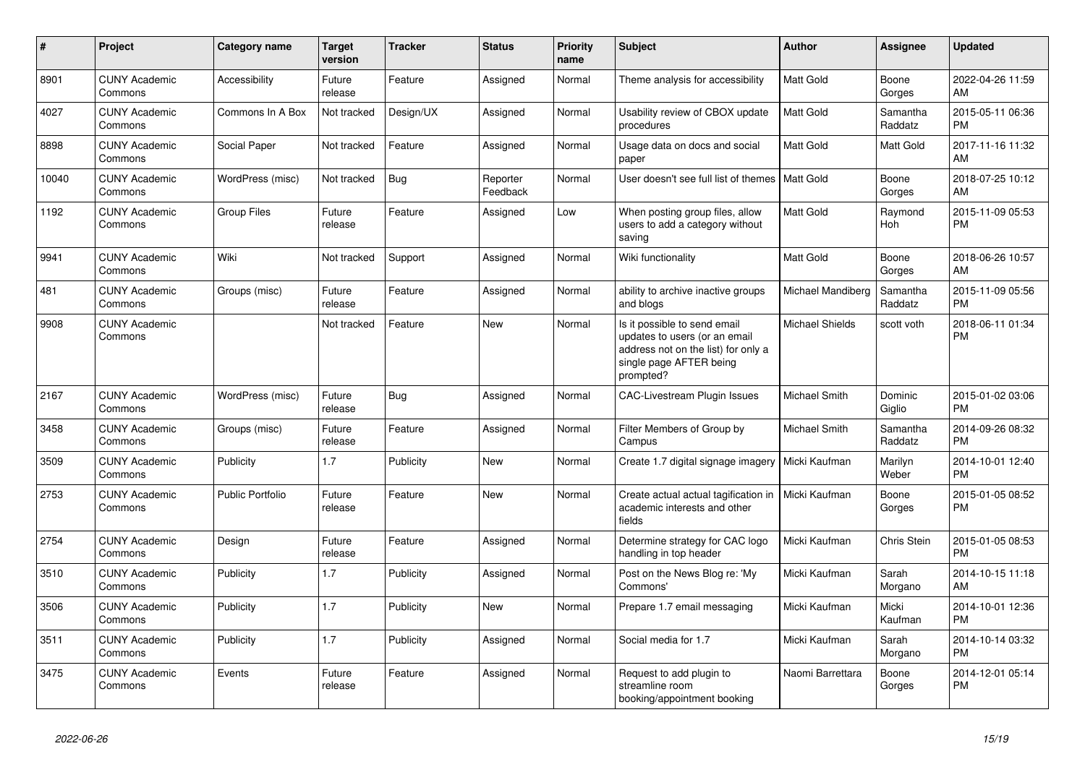| #     | Project                         | <b>Category name</b>    | Target<br>version | <b>Tracker</b> | <b>Status</b>        | <b>Priority</b><br>name | <b>Subject</b>                                                                                                                               | <b>Author</b>     | <b>Assignee</b>     | <b>Updated</b>                |
|-------|---------------------------------|-------------------------|-------------------|----------------|----------------------|-------------------------|----------------------------------------------------------------------------------------------------------------------------------------------|-------------------|---------------------|-------------------------------|
| 8901  | <b>CUNY Academic</b><br>Commons | Accessibility           | Future<br>release | Feature        | Assigned             | Normal                  | Theme analysis for accessibility                                                                                                             | <b>Matt Gold</b>  | Boone<br>Gorges     | 2022-04-26 11:59<br>AM        |
| 4027  | <b>CUNY Academic</b><br>Commons | Commons In A Box        | Not tracked       | Design/UX      | Assigned             | Normal                  | Usability review of CBOX update<br>procedures                                                                                                | <b>Matt Gold</b>  | Samantha<br>Raddatz | 2015-05-11 06:36<br><b>PM</b> |
| 8898  | <b>CUNY Academic</b><br>Commons | Social Paper            | Not tracked       | Feature        | Assigned             | Normal                  | Usage data on docs and social<br>paper                                                                                                       | Matt Gold         | Matt Gold           | 2017-11-16 11:32<br>AM        |
| 10040 | <b>CUNY Academic</b><br>Commons | WordPress (misc)        | Not tracked       | <b>Bug</b>     | Reporter<br>Feedback | Normal                  | User doesn't see full list of themes                                                                                                         | <b>Matt Gold</b>  | Boone<br>Gorges     | 2018-07-25 10:12<br>AM        |
| 1192  | <b>CUNY Academic</b><br>Commons | <b>Group Files</b>      | Future<br>release | Feature        | Assigned             | Low                     | When posting group files, allow<br>users to add a category without<br>saving                                                                 | <b>Matt Gold</b>  | Raymond<br>Hoh      | 2015-11-09 05:53<br><b>PM</b> |
| 9941  | <b>CUNY Academic</b><br>Commons | Wiki                    | Not tracked       | Support        | Assigned             | Normal                  | Wiki functionality                                                                                                                           | <b>Matt Gold</b>  | Boone<br>Gorges     | 2018-06-26 10:57<br>AM        |
| 481   | <b>CUNY Academic</b><br>Commons | Groups (misc)           | Future<br>release | Feature        | Assigned             | Normal                  | ability to archive inactive groups<br>and blogs                                                                                              | Michael Mandiberg | Samantha<br>Raddatz | 2015-11-09 05:56<br><b>PM</b> |
| 9908  | <b>CUNY Academic</b><br>Commons |                         | Not tracked       | Feature        | <b>New</b>           | Normal                  | Is it possible to send email<br>updates to users (or an email<br>address not on the list) for only a<br>single page AFTER being<br>prompted? | Michael Shields   | scott voth          | 2018-06-11 01:34<br><b>PM</b> |
| 2167  | <b>CUNY Academic</b><br>Commons | WordPress (misc)        | Future<br>release | Bug            | Assigned             | Normal                  | <b>CAC-Livestream Plugin Issues</b>                                                                                                          | Michael Smith     | Dominic<br>Giglio   | 2015-01-02 03:06<br><b>PM</b> |
| 3458  | <b>CUNY Academic</b><br>Commons | Groups (misc)           | Future<br>release | Feature        | Assigned             | Normal                  | Filter Members of Group by<br>Campus                                                                                                         | Michael Smith     | Samantha<br>Raddatz | 2014-09-26 08:32<br><b>PM</b> |
| 3509  | <b>CUNY Academic</b><br>Commons | Publicity               | 1.7               | Publicity      | <b>New</b>           | Normal                  | Create 1.7 digital signage imagery                                                                                                           | Micki Kaufman     | Marilyn<br>Weber    | 2014-10-01 12:40<br><b>PM</b> |
| 2753  | <b>CUNY Academic</b><br>Commons | <b>Public Portfolio</b> | Future<br>release | Feature        | <b>New</b>           | Normal                  | Create actual actual tagification in<br>academic interests and other<br>fields                                                               | Micki Kaufman     | Boone<br>Gorges     | 2015-01-05 08:52<br><b>PM</b> |
| 2754  | <b>CUNY Academic</b><br>Commons | Design                  | Future<br>release | Feature        | Assigned             | Normal                  | Determine strategy for CAC logo<br>handling in top header                                                                                    | Micki Kaufman     | Chris Stein         | 2015-01-05 08:53<br><b>PM</b> |
| 3510  | <b>CUNY Academic</b><br>Commons | Publicity               | 1.7               | Publicity      | Assigned             | Normal                  | Post on the News Blog re: 'My<br>Commons'                                                                                                    | Micki Kaufman     | Sarah<br>Morgano    | 2014-10-15 11:18<br>AM        |
| 3506  | <b>CUNY Academic</b><br>Commons | Publicity               | 1.7               | Publicity      | <b>New</b>           | Normal                  | Prepare 1.7 email messaging                                                                                                                  | Micki Kaufman     | Micki<br>Kaufman    | 2014-10-01 12:36<br><b>PM</b> |
| 3511  | <b>CUNY Academic</b><br>Commons | Publicity               | 1.7               | Publicity      | Assigned             | Normal                  | Social media for 1.7                                                                                                                         | Micki Kaufman     | Sarah<br>Morgano    | 2014-10-14 03:32<br><b>PM</b> |
| 3475  | <b>CUNY Academic</b><br>Commons | Events                  | Future<br>release | Feature        | Assigned             | Normal                  | Request to add plugin to<br>streamline room<br>booking/appointment booking                                                                   | Naomi Barrettara  | Boone<br>Gorges     | 2014-12-01 05:14<br><b>PM</b> |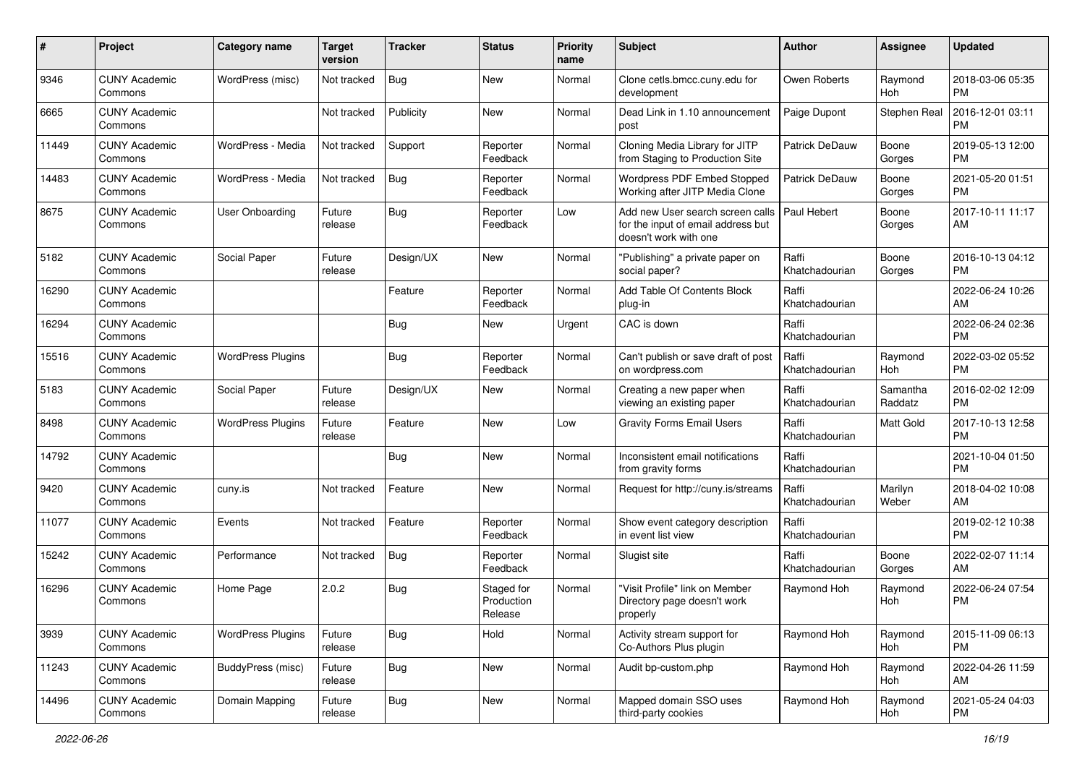| #     | Project                         | <b>Category name</b>     | <b>Target</b><br>version | <b>Tracker</b> | <b>Status</b>                       | <b>Priority</b><br>name | Subject                                                                                         | Author                  | <b>Assignee</b>     | <b>Updated</b>                |
|-------|---------------------------------|--------------------------|--------------------------|----------------|-------------------------------------|-------------------------|-------------------------------------------------------------------------------------------------|-------------------------|---------------------|-------------------------------|
| 9346  | <b>CUNY Academic</b><br>Commons | WordPress (misc)         | Not tracked              | Bug            | <b>New</b>                          | Normal                  | Clone cetls.bmcc.cuny.edu for<br>development                                                    | Owen Roberts            | Raymond<br>Hoh      | 2018-03-06 05:35<br><b>PM</b> |
| 6665  | <b>CUNY Academic</b><br>Commons |                          | Not tracked              | Publicity      | New                                 | Normal                  | Dead Link in 1.10 announcement<br>post                                                          | Paige Dupont            | Stephen Real        | 2016-12-01 03:11<br><b>PM</b> |
| 11449 | <b>CUNY Academic</b><br>Commons | WordPress - Media        | Not tracked              | Support        | Reporter<br>Feedback                | Normal                  | Cloning Media Library for JITP<br>from Staging to Production Site                               | Patrick DeDauw          | Boone<br>Gorges     | 2019-05-13 12:00<br><b>PM</b> |
| 14483 | <b>CUNY Academic</b><br>Commons | WordPress - Media        | Not tracked              | Bug            | Reporter<br>Feedback                | Normal                  | Wordpress PDF Embed Stopped<br>Working after JITP Media Clone                                   | <b>Patrick DeDauw</b>   | Boone<br>Gorges     | 2021-05-20 01:51<br><b>PM</b> |
| 8675  | <b>CUNY Academic</b><br>Commons | <b>User Onboarding</b>   | Future<br>release        | Bug            | Reporter<br>Feedback                | Low                     | Add new User search screen calls<br>for the input of email address but<br>doesn't work with one | Paul Hebert             | Boone<br>Gorges     | 2017-10-11 11:17<br>AM        |
| 5182  | <b>CUNY Academic</b><br>Commons | Social Paper             | Future<br>release        | Design/UX      | New                                 | Normal                  | "Publishing" a private paper on<br>social paper?                                                | Raffi<br>Khatchadourian | Boone<br>Gorges     | 2016-10-13 04:12<br>PM        |
| 16290 | <b>CUNY Academic</b><br>Commons |                          |                          | Feature        | Reporter<br>Feedback                | Normal                  | Add Table Of Contents Block<br>plug-in                                                          | Raffi<br>Khatchadourian |                     | 2022-06-24 10:26<br>AM        |
| 16294 | <b>CUNY Academic</b><br>Commons |                          |                          | <b>Bug</b>     | New                                 | Urgent                  | CAC is down                                                                                     | Raffi<br>Khatchadourian |                     | 2022-06-24 02:36<br><b>PM</b> |
| 15516 | <b>CUNY Academic</b><br>Commons | <b>WordPress Plugins</b> |                          | <b>Bug</b>     | Reporter<br>Feedback                | Normal                  | Can't publish or save draft of post<br>on wordpress.com                                         | Raffi<br>Khatchadourian | Raymond<br>Hoh      | 2022-03-02 05:52<br><b>PM</b> |
| 5183  | <b>CUNY Academic</b><br>Commons | Social Paper             | Future<br>release        | Design/UX      | <b>New</b>                          | Normal                  | Creating a new paper when<br>viewing an existing paper                                          | Raffi<br>Khatchadourian | Samantha<br>Raddatz | 2016-02-02 12:09<br><b>PM</b> |
| 8498  | <b>CUNY Academic</b><br>Commons | <b>WordPress Plugins</b> | Future<br>release        | Feature        | <b>New</b>                          | Low                     | <b>Gravity Forms Email Users</b>                                                                | Raffi<br>Khatchadourian | Matt Gold           | 2017-10-13 12:58<br><b>PM</b> |
| 14792 | <b>CUNY Academic</b><br>Commons |                          |                          | Bug            | <b>New</b>                          | Normal                  | Inconsistent email notifications<br>from gravity forms                                          | Raffi<br>Khatchadourian |                     | 2021-10-04 01:50<br><b>PM</b> |
| 9420  | <b>CUNY Academic</b><br>Commons | cuny.is                  | Not tracked              | Feature        | <b>New</b>                          | Normal                  | Request for http://cuny.is/streams                                                              | Raffi<br>Khatchadourian | Marilyn<br>Weber    | 2018-04-02 10:08<br>AM        |
| 11077 | <b>CUNY Academic</b><br>Commons | Events                   | Not tracked              | Feature        | Reporter<br>Feedback                | Normal                  | Show event category description<br>in event list view                                           | Raffi<br>Khatchadourian |                     | 2019-02-12 10:38<br><b>PM</b> |
| 15242 | <b>CUNY Academic</b><br>Commons | Performance              | Not tracked              | Bug            | Reporter<br>Feedback                | Normal                  | Slugist site                                                                                    | Raffi<br>Khatchadourian | Boone<br>Gorges     | 2022-02-07 11:14<br>AM        |
| 16296 | <b>CUNY Academic</b><br>Commons | Home Page                | 2.0.2                    | Bug            | Staged for<br>Production<br>Release | Normal                  | "Visit Profile" link on Member<br>Directory page doesn't work<br>properly                       | Raymond Hoh             | Raymond<br>Hoh      | 2022-06-24 07:54<br><b>PM</b> |
| 3939  | <b>CUNY Academic</b><br>Commons | <b>WordPress Plugins</b> | Future<br>release        | Bug            | Hold                                | Normal                  | Activity stream support for<br>Co-Authors Plus plugin                                           | Raymond Hoh             | Raymond<br>Hoh      | 2015-11-09 06:13<br>PM        |
| 11243 | <b>CUNY Academic</b><br>Commons | BuddyPress (misc)        | Future<br>release        | Bug            | New                                 | Normal                  | Audit bp-custom.php                                                                             | Raymond Hoh             | Raymond<br>Hoh      | 2022-04-26 11:59<br>AM        |
| 14496 | <b>CUNY Academic</b><br>Commons | Domain Mapping           | Future<br>release        | <b>Bug</b>     | New                                 | Normal                  | Mapped domain SSO uses<br>third-party cookies                                                   | Raymond Hoh             | Raymond<br>Hoh      | 2021-05-24 04:03<br><b>PM</b> |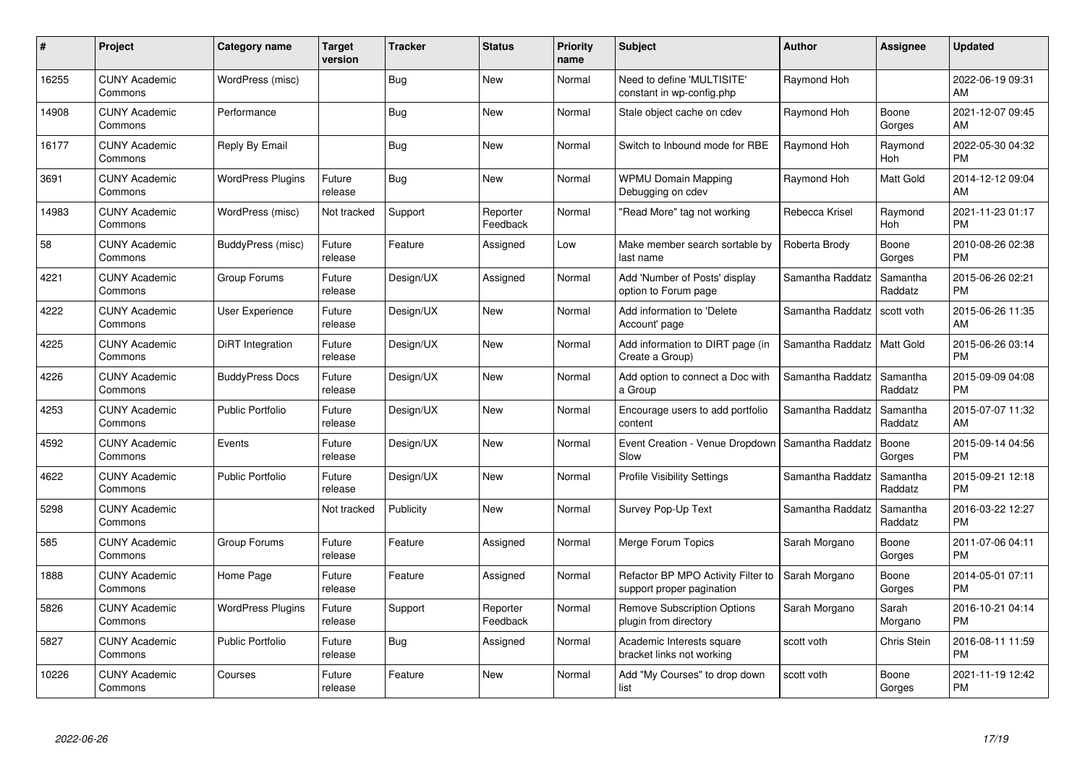| #     | Project                         | <b>Category name</b>     | <b>Target</b><br>version | <b>Tracker</b> | <b>Status</b>        | <b>Priority</b><br>name | <b>Subject</b>                                                  | <b>Author</b>    | <b>Assignee</b>     | <b>Updated</b>                |
|-------|---------------------------------|--------------------------|--------------------------|----------------|----------------------|-------------------------|-----------------------------------------------------------------|------------------|---------------------|-------------------------------|
| 16255 | <b>CUNY Academic</b><br>Commons | WordPress (misc)         |                          | Bug            | <b>New</b>           | Normal                  | Need to define 'MULTISITE'<br>constant in wp-config.php         | Raymond Hoh      |                     | 2022-06-19 09:31<br>AM        |
| 14908 | <b>CUNY Academic</b><br>Commons | Performance              |                          | Bug            | <b>New</b>           | Normal                  | Stale object cache on cdev                                      | Raymond Hoh      | Boone<br>Gorges     | 2021-12-07 09:45<br>AM        |
| 16177 | <b>CUNY Academic</b><br>Commons | Reply By Email           |                          | Bug            | <b>New</b>           | Normal                  | Switch to Inbound mode for RBE                                  | Raymond Hoh      | Raymond<br>Hoh      | 2022-05-30 04:32<br><b>PM</b> |
| 3691  | <b>CUNY Academic</b><br>Commons | <b>WordPress Plugins</b> | Future<br>release        | Bug            | <b>New</b>           | Normal                  | <b>WPMU Domain Mapping</b><br>Debugging on cdev                 | Raymond Hoh      | Matt Gold           | 2014-12-12 09:04<br>AM        |
| 14983 | <b>CUNY Academic</b><br>Commons | WordPress (misc)         | Not tracked              | Support        | Reporter<br>Feedback | Normal                  | 'Read More" tag not working                                     | Rebecca Krisel   | Raymond<br>Hoh      | 2021-11-23 01:17<br><b>PM</b> |
| 58    | <b>CUNY Academic</b><br>Commons | BuddyPress (misc)        | Future<br>release        | Feature        | Assigned             | Low                     | Make member search sortable by<br>last name                     | Roberta Brody    | Boone<br>Gorges     | 2010-08-26 02:38<br><b>PM</b> |
| 4221  | <b>CUNY Academic</b><br>Commons | Group Forums             | Future<br>release        | Design/UX      | Assigned             | Normal                  | Add 'Number of Posts' display<br>option to Forum page           | Samantha Raddatz | Samantha<br>Raddatz | 2015-06-26 02:21<br><b>PM</b> |
| 4222  | <b>CUNY Academic</b><br>Commons | User Experience          | Future<br>release        | Design/UX      | <b>New</b>           | Normal                  | Add information to 'Delete<br>Account' page                     | Samantha Raddatz | scott voth          | 2015-06-26 11:35<br>AM        |
| 4225  | <b>CUNY Academic</b><br>Commons | DiRT Integration         | Future<br>release        | Design/UX      | New                  | Normal                  | Add information to DIRT page (in<br>Create a Group)             | Samantha Raddatz | Matt Gold           | 2015-06-26 03:14<br><b>PM</b> |
| 4226  | <b>CUNY Academic</b><br>Commons | <b>BuddyPress Docs</b>   | Future<br>release        | Design/UX      | <b>New</b>           | Normal                  | Add option to connect a Doc with<br>a Group                     | Samantha Raddatz | Samantha<br>Raddatz | 2015-09-09 04:08<br><b>PM</b> |
| 4253  | <b>CUNY Academic</b><br>Commons | <b>Public Portfolio</b>  | Future<br>release        | Design/UX      | <b>New</b>           | Normal                  | Encourage users to add portfolio<br>content                     | Samantha Raddatz | Samantha<br>Raddatz | 2015-07-07 11:32<br>AM        |
| 4592  | <b>CUNY Academic</b><br>Commons | Events                   | Future<br>release        | Design/UX      | <b>New</b>           | Normal                  | Event Creation - Venue Dropdown<br>Slow                         | Samantha Raddatz | Boone<br>Gorges     | 2015-09-14 04:56<br><b>PM</b> |
| 4622  | <b>CUNY Academic</b><br>Commons | <b>Public Portfolio</b>  | Future<br>release        | Design/UX      | <b>New</b>           | Normal                  | <b>Profile Visibility Settings</b>                              | Samantha Raddatz | Samantha<br>Raddatz | 2015-09-21 12:18<br><b>PM</b> |
| 5298  | <b>CUNY Academic</b><br>Commons |                          | Not tracked              | Publicity      | <b>New</b>           | Normal                  | Survey Pop-Up Text                                              | Samantha Raddatz | Samantha<br>Raddatz | 2016-03-22 12:27<br><b>PM</b> |
| 585   | <b>CUNY Academic</b><br>Commons | Group Forums             | Future<br>release        | Feature        | Assigned             | Normal                  | Merge Forum Topics                                              | Sarah Morgano    | Boone<br>Gorges     | 2011-07-06 04:11<br><b>PM</b> |
| 1888  | <b>CUNY Academic</b><br>Commons | Home Page                | Future<br>release        | Feature        | Assigned             | Normal                  | Refactor BP MPO Activity Filter to<br>support proper pagination | Sarah Morgano    | Boone<br>Gorges     | 2014-05-01 07:11<br><b>PM</b> |
| 5826  | <b>CUNY Academic</b><br>Commons | WordPress Plugins        | Future<br>release        | Support        | Reporter<br>Feedback | Normal                  | <b>Remove Subscription Options</b><br>plugin from directory     | Sarah Morgano    | Sarah<br>Morgano    | 2016-10-21 04:14<br><b>PM</b> |
| 5827  | <b>CUNY Academic</b><br>Commons | Public Portfolio         | Future<br>release        | Bug            | Assigned             | Normal                  | Academic Interests square<br>bracket links not working          | scott voth       | Chris Stein         | 2016-08-11 11:59<br><b>PM</b> |
| 10226 | <b>CUNY Academic</b><br>Commons | Courses                  | Future<br>release        | Feature        | <b>New</b>           | Normal                  | Add "My Courses" to drop down<br>list                           | scott voth       | Boone<br>Gorges     | 2021-11-19 12:42<br>PM        |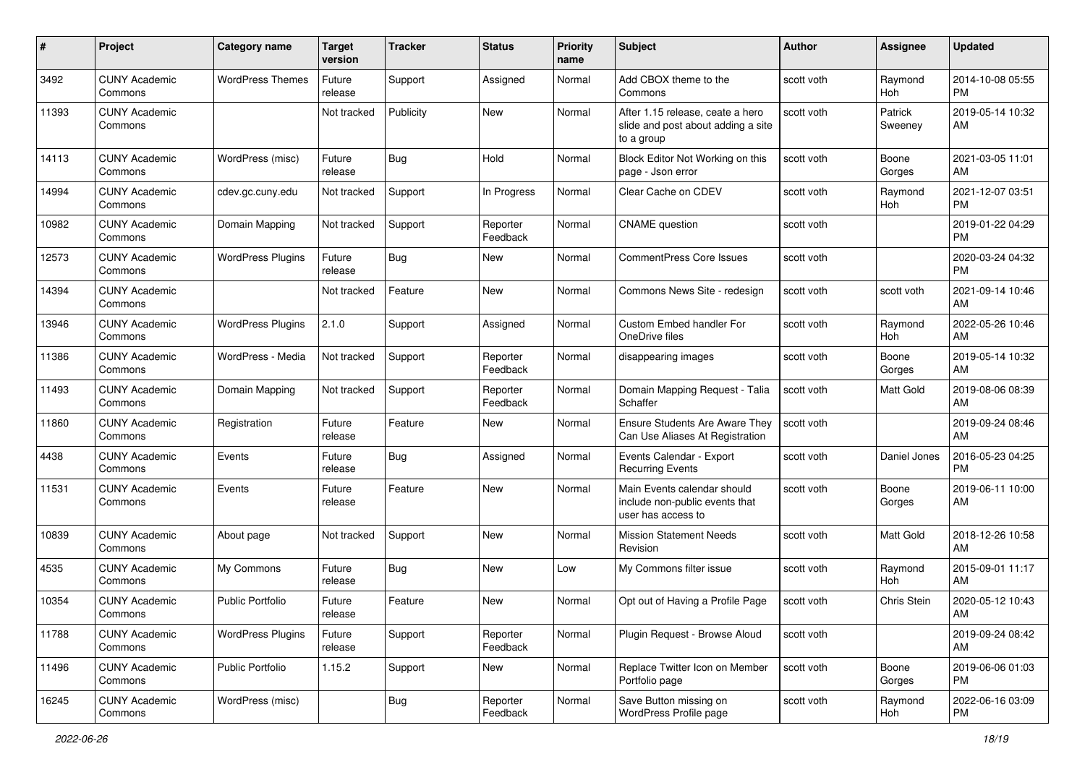| #     | Project                         | <b>Category name</b>     | Target<br>version | <b>Tracker</b> | <b>Status</b>        | <b>Priority</b><br>name | <b>Subject</b>                                                                       | <b>Author</b> | Assignee           | <b>Updated</b>                |
|-------|---------------------------------|--------------------------|-------------------|----------------|----------------------|-------------------------|--------------------------------------------------------------------------------------|---------------|--------------------|-------------------------------|
| 3492  | <b>CUNY Academic</b><br>Commons | <b>WordPress Themes</b>  | Future<br>release | Support        | Assigned             | Normal                  | Add CBOX theme to the<br>Commons                                                     | scott voth    | Raymond<br>Hoh     | 2014-10-08 05:55<br><b>PM</b> |
| 11393 | <b>CUNY Academic</b><br>Commons |                          | Not tracked       | Publicity      | New                  | Normal                  | After 1.15 release, ceate a hero<br>slide and post about adding a site<br>to a group | scott voth    | Patrick<br>Sweeney | 2019-05-14 10:32<br>AM        |
| 14113 | <b>CUNY Academic</b><br>Commons | WordPress (misc)         | Future<br>release | <b>Bug</b>     | Hold                 | Normal                  | Block Editor Not Working on this<br>page - Json error                                | scott voth    | Boone<br>Gorges    | 2021-03-05 11:01<br>AM        |
| 14994 | <b>CUNY Academic</b><br>Commons | cdev.gc.cuny.edu         | Not tracked       | Support        | In Progress          | Normal                  | Clear Cache on CDEV                                                                  | scott voth    | Raymond<br>Hoh     | 2021-12-07 03:51<br><b>PM</b> |
| 10982 | <b>CUNY Academic</b><br>Commons | Domain Mapping           | Not tracked       | Support        | Reporter<br>Feedback | Normal                  | <b>CNAME</b> question                                                                | scott voth    |                    | 2019-01-22 04:29<br><b>PM</b> |
| 12573 | <b>CUNY Academic</b><br>Commons | <b>WordPress Plugins</b> | Future<br>release | Bug            | New                  | Normal                  | <b>CommentPress Core Issues</b>                                                      | scott voth    |                    | 2020-03-24 04:32<br>PM        |
| 14394 | <b>CUNY Academic</b><br>Commons |                          | Not tracked       | Feature        | New                  | Normal                  | Commons News Site - redesign                                                         | scott voth    | scott voth         | 2021-09-14 10:46<br>AM        |
| 13946 | <b>CUNY Academic</b><br>Commons | <b>WordPress Plugins</b> | 2.1.0             | Support        | Assigned             | Normal                  | Custom Embed handler For<br>OneDrive files                                           | scott voth    | Raymond<br>Hoh     | 2022-05-26 10:46<br>AM        |
| 11386 | <b>CUNY Academic</b><br>Commons | WordPress - Media        | Not tracked       | Support        | Reporter<br>Feedback | Normal                  | disappearing images                                                                  | scott voth    | Boone<br>Gorges    | 2019-05-14 10:32<br>AM        |
| 11493 | <b>CUNY Academic</b><br>Commons | Domain Mapping           | Not tracked       | Support        | Reporter<br>Feedback | Normal                  | Domain Mapping Request - Talia<br>Schaffer                                           | scott voth    | Matt Gold          | 2019-08-06 08:39<br>AM        |
| 11860 | <b>CUNY Academic</b><br>Commons | Registration             | Future<br>release | Feature        | New                  | Normal                  | Ensure Students Are Aware They<br>Can Use Aliases At Registration                    | scott voth    |                    | 2019-09-24 08:46<br>AM        |
| 4438  | <b>CUNY Academic</b><br>Commons | Events                   | Future<br>release | Bug            | Assigned             | Normal                  | Events Calendar - Export<br><b>Recurring Events</b>                                  | scott voth    | Daniel Jones       | 2016-05-23 04:25<br><b>PM</b> |
| 11531 | <b>CUNY Academic</b><br>Commons | Events                   | Future<br>release | Feature        | New                  | Normal                  | Main Events calendar should<br>include non-public events that<br>user has access to  | scott voth    | Boone<br>Gorges    | 2019-06-11 10:00<br>AM        |
| 10839 | <b>CUNY Academic</b><br>Commons | About page               | Not tracked       | Support        | <b>New</b>           | Normal                  | <b>Mission Statement Needs</b><br>Revision                                           | scott voth    | Matt Gold          | 2018-12-26 10:58<br>AM        |
| 4535  | <b>CUNY Academic</b><br>Commons | My Commons               | Future<br>release | Bug            | New                  | Low                     | My Commons filter issue                                                              | scott voth    | Raymond<br>Hoh     | 2015-09-01 11:17<br>AM        |
| 10354 | <b>CUNY Academic</b><br>Commons | <b>Public Portfolio</b>  | Future<br>release | Feature        | New                  | Normal                  | Opt out of Having a Profile Page                                                     | scott voth    | Chris Stein        | 2020-05-12 10:43<br>AM        |
| 11788 | <b>CUNY Academic</b><br>Commons | <b>WordPress Plugins</b> | Future<br>release | Support        | Reporter<br>Feedback | Normal                  | Plugin Request - Browse Aloud                                                        | scott voth    |                    | 2019-09-24 08:42<br>AM        |
| 11496 | <b>CUNY Academic</b><br>Commons | <b>Public Portfolio</b>  | 1.15.2            | Support        | New                  | Normal                  | Replace Twitter Icon on Member<br>Portfolio page                                     | scott voth    | Boone<br>Gorges    | 2019-06-06 01:03<br>PM        |
| 16245 | <b>CUNY Academic</b><br>Commons | WordPress (misc)         |                   | <b>Bug</b>     | Reporter<br>Feedback | Normal                  | Save Button missing on<br>WordPress Profile page                                     | scott voth    | Raymond<br>Hoh     | 2022-06-16 03:09<br>PM        |